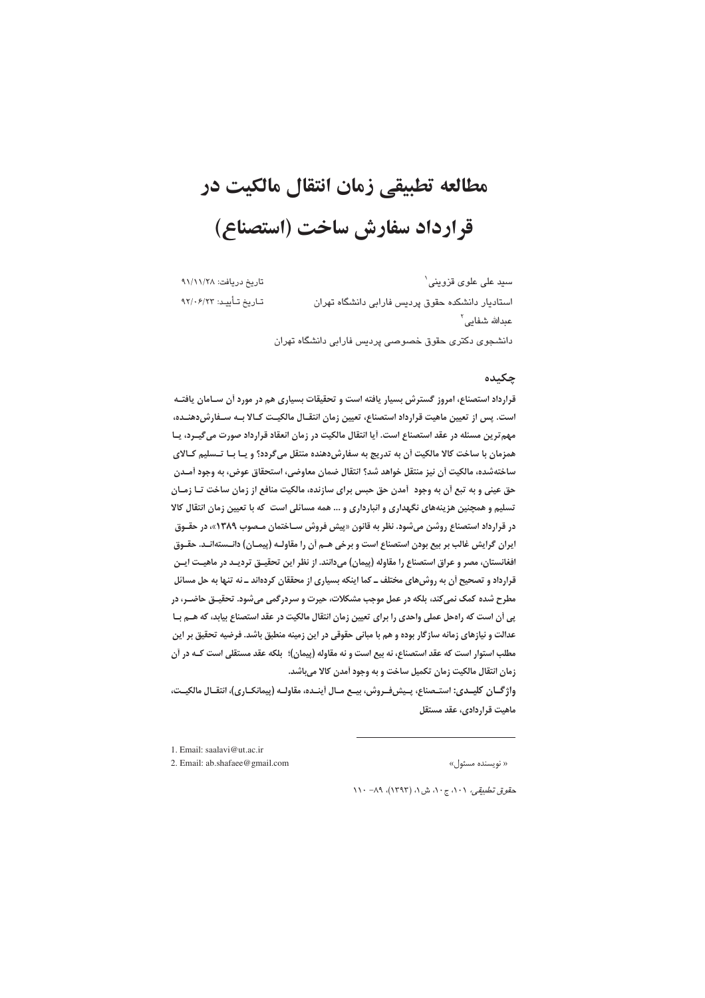# مطالعه تطبيقي زمان انتقال مالكيت در قرارداد سفارش ساخت (استصناع)

تاريخ دريافت: ٩١/١١/٢٨ سید علی علوی قزوینی` تاريخ تأييد: ٩٢/٠۶/٢٣ استادیار دانشکده حقوق پردیس فارابی دانشگاه تهران عىدالله شفاىي<sup>٢</sup> دانشجوی دکتری حقوق خصوصی پردیس فارابی دانشگاه تهران

## چکیده

قرارداد استصناع، امروز گسترش بسیار یافته است و تحقیقات بسیاری هم در مورد آن سـامان یافتـه است. پس از تعیین ماهیت قرارداد استصناع، تعیین زمان انتقـال مالکیـت کـالا بـه سـفارش(دهنـده، مهم ترین مسئله در عقد استصناع است. آیا انتقال مالکیت در زمان انعقاد قرارداد صورت می گیـرد، پـا همزمان با ساخت کالا مالکیت آن به تدریج به سفارشدهنده منتقل میگردد؟ و یـا بـا تــسلیم کـالای ساختهشده، مالكيت أن نيز منتقل خواهد شد؟ انتقال ضمان معاوضي، استحقاق عوض، به وجود أمـدن حق عینی و به تبع أن به وجود آمدن حق حبس برای سازنده، مالکیت منافع از زمان ساخت تـا زمـان تسلیم و همچنین هزینههای نگهداری و انبارداری و … همه مسائلی است که با تعیین زمان انتقال کالا در قرارداد استصناع روشن می شود. نظر به قانون «پیش فروش سـاختمان مـصوب ۱۳۸۹»، در حقـوق ايران گرايش غالب بر بيع بودن استصناع است و برخي هـم أن را مقاولـه (پيمـان) دانــستهانــد. حقــوق افغانستان، مصر و عراق استصناع را مقاوله (پیمان) میدانند. از نظر این تحقیـق تردیـد در ماهیـت ایـن قرارداد و تصحیح اَن به روش@ای مختلف ــ کما اینکه بسیاری از محققان کردهاند ــ نه تنها به حل مسائل مطرح شده کمک نمی کند، بلکه در عمل موجب مشکلات، حیرت و سردرگمی میشود. تحقیـق حاضـر، در یی اَن است که راهحل عملی واحدی را برای تعیین زمان انتقال مالکیت در عقد استصناع بیابد، که هــم بــا عدالت و نیازهای زمانه سازگار بوده و هم با مبانی حقوقی در این زمینه منطبق باشد. فرضیه تحقیق بر این مطلب استوار است که عقد استصناع، نه بیع است و نه مقاوله (پیمان)؛ بلکه عقد مستقلی است کـه در أن زمان انتقال مالكيت زمان تكميل ساخت و به وجود آمدن كالا مىباشد.

واژگـان كليـدي: استـصناع، پـيش2فـروش، بيـع مـال أينـده، مقاولـه (پيمانكـاري)، انتقـال مالكيـت، ماهیت قراردادی، عقد مستقل

1 Email: saalavi@ut ac in

2. Email: ab.shafaee@gmail.com

« نویسنده مسئول»

حق*وق تطبیقی، ۰۱۰، ج ۱۰، ش ۱، (۱۳۹۳)، ۸۹- ۱۱۰*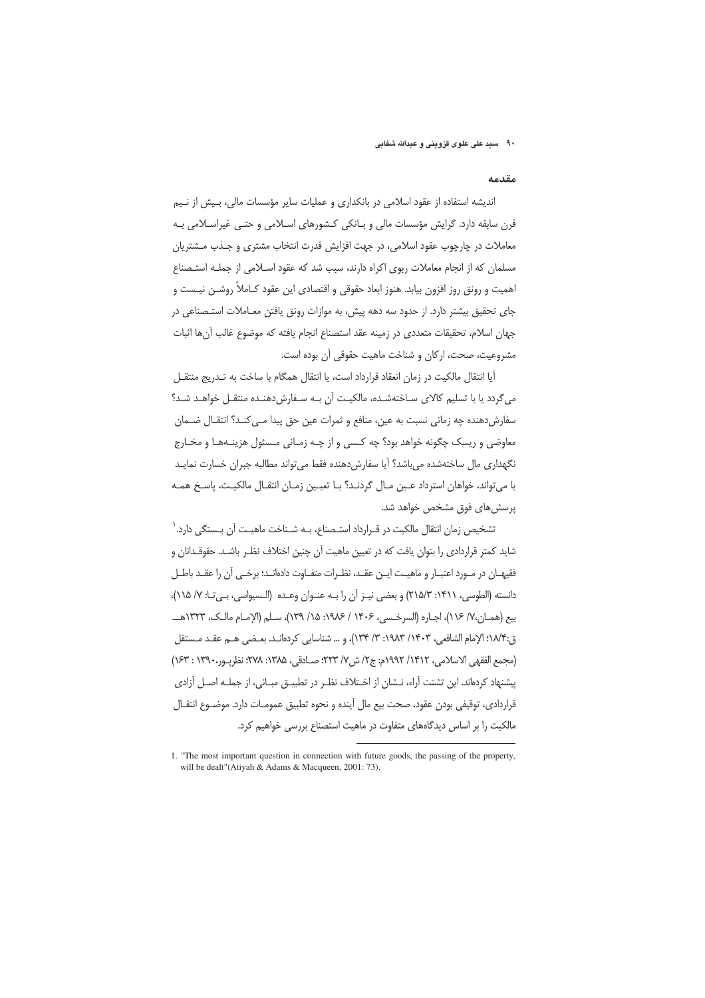۹۰٪ سید علی علوی قزوینی و عبدالله شفایی

#### مقدمه

اندیشه استفاده از عقود اسلامی در بانکداری و عملیات سایر مؤسسات مالی، بـیش از نـیم قرن سابقه دارد. گرایش مؤسسات مالی و بـانکی کـشورهای اسـلامی و حتـی غیراسـلامی بـه معاملات در چارچوب عقود اسلامی، در جهت افزایش قدرت انتخاب مشتری و جـذب مــشتریان مسلمان که از انجام معاملات ربوی اکراه دارند، سبب شد که عقود اســلامی از جملــه استــصناع اهمیت و رونق روز افزون بیابد. هنوز ابعاد حقوقی و اقتصادی این عقود کـاملاً روشــن نیــست و جای تحقیق بیشتر دارد. از حدود سه دهه پیش، به موازات رونق یافتن معـاملات استـصناعی در جهان إسلام، تحقيقات متعددي در زمينه عقد استصناع إنحام بافته كه موضوع غالب آن ها إثبات مشروعيت، صحت، اركان و شناخت ماهيت حقوقي آن بوده است.

آيا انتقال مالكيت در زمان انعقاد قرارداد است، يا انتقال همگام با ساخت به تــدريج منتقــل می گردد یا با تسلیم کالای سـاختهشـده، مالکیـت آن بـه سـفارش دهنـده منتقـل خواهـد شـد؟ سفارشدهنده چه زمانی نسبت به عین، منافع و ثمرات عین حق پیدا مـی کنـد؟ انتقـال ضـمان معاوضي و ريسک چگونه خواهد بود؟ چه کـسی و از چـه زمـانی مـسئول هزینـههـا و مخـارج نگهداری مال ساختهشده میباشد؟ آیا سفارش دهنده فقط می تواند مطالبه جبران خسارت نمایـد يا مي تواند، خواهان استرداد عـين مـال گردنـد؟ بـا تعيـين زمـان انتقـال مالكيـت، پاسـخ همـه پرسشهای فوق مشخص خواهد شد.

تشخیص زمان انتقال مالکیت در قـرارداد استـصناع، بـه شـناخت ماهیـت آن بـستگی دارد.` شاید کمتر قراردادی را بتوان یافت که در تعیین ماهیت آن چنین اختلاف نظـر باشـد. حقوقـدانان و فقيهــان در مــورد اعتبــار و ماهيــت ايــن عقــد، نظــرات متفــاوت دادهانــد؛ برخــي آن را عقــد باطــل دانسته (الطوسي، ١۴١١: ٢١۵/٣) و بعضي نيـز أن را بـه عنـوان وعـده (الـسيواسي، بـي تـا: ٧/ ١١۵)، بيع (هميان،٧/ ١١۶)، اجباره (السرخسي، ١۴٠۶ / ١٩٨٤: ١٥/ ١٣٩)، سبلم (الإمبام مالي، ١٣٢٣هـــ ق:١٨/٣؛ الإمام الشافعي، ١٣٠٣/ ١٩٨٣: ٣/ ١٣۴)، و ... شناسايي كردهانـد. بعـضي هـم عقـد مـستقل (مجمع الفقهي الاسلامي، ١٤١٢/ ١٩٩٢م: ج٢/ ش ٧/ ٢٢٣؛ صـادقي، ١٣٨۵: ٢٧٨: نظريـور، ١٣٩٠ : ١۶٣) ییشنهاد کردهاند. این تشتت آراء، نـشان از اخـتلاف نظـر در تطبیــق مبــانی، از جملــه اصــل آزادی قراردادي، توقيفي بودن عقود، صحت بيع مال أينده و نحوه تطبيق عمومـات دارد. موضـوع انتقـال مالکیت را بر اساس دیدگاههای متفاوت در ماهیت استصناع بررسی خواهیم کرد.

<sup>1. &</sup>quot;The most important question in connection with future goods, the passing of the property, will be dealt"(Atiyah & Adams & Macqueen, 2001: 73).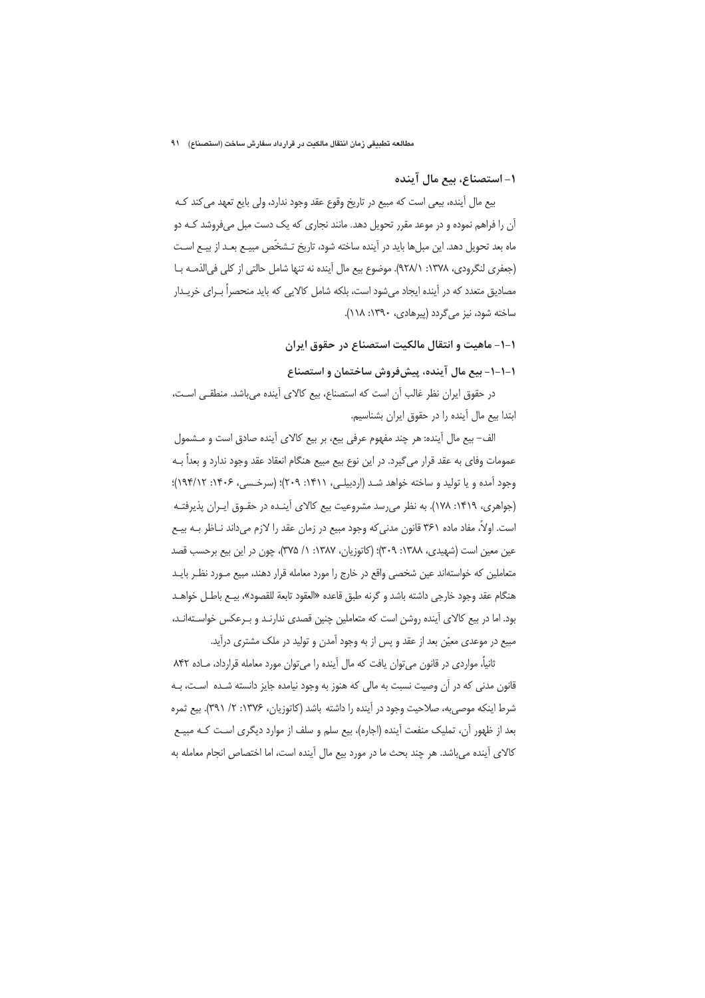# ١– استصناع، بيع مال آينده

بیع مال اَپندہ، بیعی است که مبیع در تاریخ وقوع عقد وجود ندارد، ولی بایع تعهد می کند کـه آن را فراهم نموده و در موعد مقرر تحویل دهد. مانند نجاری که یک دست مبل میفروشد کـه دو ماه بعد تحويل دهد. اين مبلها بايد در آينده ساخته شود، تاريخ تـشخّص مبيـع بعـد از بيـع اسـت (جعفري لنگرودي، ١٣٧٨: ٩٢٨/١). موضوع بيع مال آينده نه تنها شامل حالتي از كلي في الذمـه بـا مصادیق متعدد که در آینده ایجاد میشود است، بلکه شامل کالایی که باید منحصراً بـرای خریـدار ساخته شود، نیز می گردد (پیرهادی، ۱۳۹۰: ۱۱۸).

# ۱-۱- ماهيت و انتقال مالكيت استصناع در حقوق ايران

# ۱–۱–۱– بیع مال آینده، پیشفروش ساختمان و استصناع

در حقوق ایران نظر غالب آن است که استصناع، بیع کالای آینده می باشد. منطقے است، ابتدا بيع مال آينده را در حقوق ايران بشناسيم.

الف– بيع مال آينده: هر چند مفهوم عرفي بيع، بر بيع كالاي آينده صادق است و مــشمول عمومات وفاي به عقد قرار مي گيرد. در اين نوع بيع مبيع هنگام انعقاد عقد وجود ندارد و بعداً بـه وجود آمده و يا توليد و ساخته خواهد شد (اردبيلي، ١۴١١: ٢٠٩)؛ (سرخسي، ١۴٠۶: ١٩٤/١٢)؛ (جواهری، ۱۴۱۹: ۱۷۸). به نظر می رسد مشروعیت بیع کالای آینـده در حقـوق ایـران پذیرفتـه است. اولاً، مفاد ماده ۳۶۱ قانون مدنی که وجود مبیع در زمان عقد را لازم میداند نـاظر بـه بیـع عین معین است (شهیدی، ۱۳۸۸: ۳۰۹)؛ (کاتوزیان، ۱۳۸۷: ۱/ ۳۷۵)، چون در این بیع برحسب قصد متعاملین که خواستهاند عین شخصی واقع در خارج را مورد معامله قرار دهند، مبیع مـورد نظـر بایـد هنگام عقد وجود خارجي داشته باشد و گرنه طبق قاعده «العقود تابعة للقصود»، بيــع باطـل خواهــد بود. اما در بیع کالای آینده روشن است که متعاملین چنین قصدی ندارنـد و بـرعکس خواسـتهانـد، مبیع در موعدی معیّن بعد از عقد و پس از به وجود آمدن و تولید در ملک مشتری درآید.

ثانياً، مواردي در قانون مي توان يافت كه مال آينده را مي توان مورد معامله قرارداد، مـاده ٨۴٢ قانون مدنی که در آن وصیت نسبت به مالی که هنوز به وجود نیامده جایز دانسته شـده اسـت، بـه شرط اینکه موصی به، صلاحیت وجود در آینده را داشته باشد (کاتوزبان، ۱۳۷۶: ۲/ ۳۹۱). پیغ ثمره بعد از ظهور آن، تملیک منفعت آینده (اجاره)، بیع سلم و سلف از موارد دیگری است کـه مبیـع كالاي آينده مي باشد. هر چند بحث ما در مورد بيع مال آينده است، اما اختصاص انجام معامله به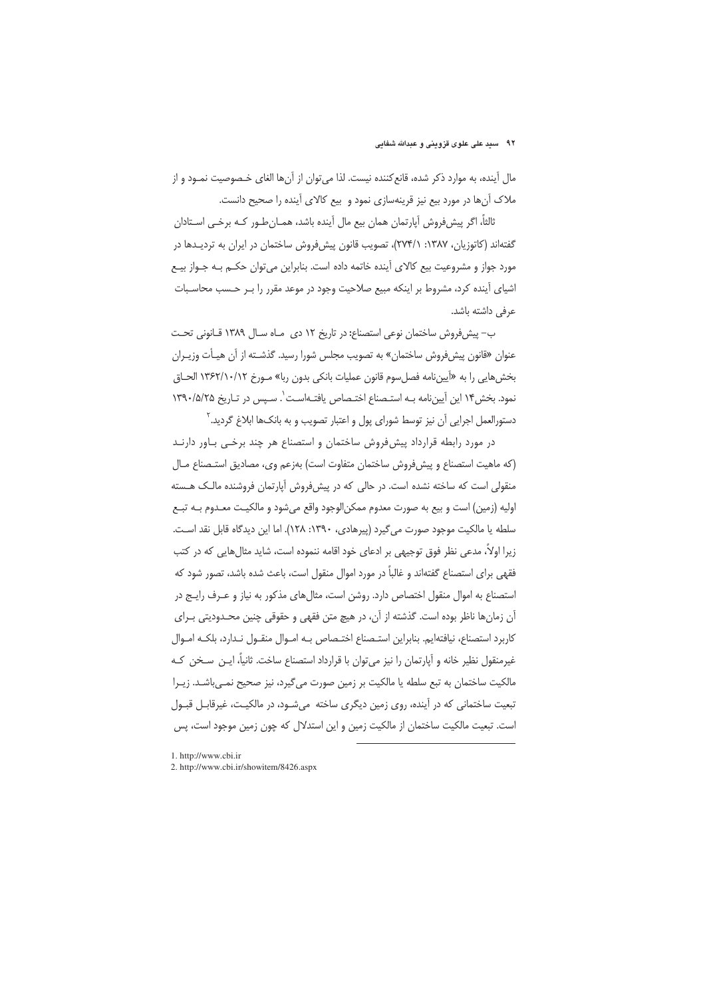#### ۹۲٪ سید علی علوی قزوینی و عبدالله شفایی

مال آینده، به موارد ذکر شده، قانع کننده نیست. لذا می توان از آنها الغای خـصوصیت نمـود و از ملاک آنها در مورد بیع نیز قرینهسازی نمود و بیع کالای آینده را صحیح دانست.

ثالثاً، اگر پیشفروش آپارتمان همان بیع مال آینده باشد، همـانِ طـور کـه برخـی اسـتادان گفتهاند (کاتوزیان، ۱۳۸۷: ۲۷۴/۱)، تصویب قانون پیشفروش ساختمان در ایران به تردیدها در مورد جواز و مشروعیت بیع کالای آینده خاتمه داده است. بنابراین می توان حکـم بـه جـواز بیـع اشیای آینده کرد، مشروط بر اینکه مبیع صلاحیت وجود در موعد مقرر را بـر حـسب محاسـبات عرفی داشته باشد.

ب- پیش فروش ساختمان نوعی استصناع: در تاریخ ١٢ دی ماه سال ١٣٨٩ قـانونی تحـت عنوان «قانون پیش فروش ساختمان» به تصویب مجلس شورا رسید. گذشــته از آن هیـأت وزیـران بخشهايي را به «آييننامه فصل سوم قانون عمليات بانكي بدون ربا» مـورخ ١٣۶٢/١٠/١٢ الحـاق نمود. بخش ۱۴ این آیین نامه به استصناع اختصاص یافتهاست<sup>'</sup>. سیس در تاریخ ۱۳۹۰/۵/۲۵ دستورالعمل اجرایی اَن نیز توسط شورای پول و اعتبار تصویب و به بانکها ابلاغ گردید.<sup>۲</sup>

در مورد رابطه قرارداد پیش فروش ساختمان و استصناع هر چند برخـی بـاور دارنـد (كه ماهيت استصناع و پيش فروش ساختمان متفاوت است) بهزعم وي، مصاديق استـصناع مـال منقولی است که ساخته نشده است. در حالی که در پیشفروش آپارتمان فروشنده مالـک هـسته اوليه (زمين) است و بيع به صورت معدوم ممكن|لوجود واقع ميشود و مالكيـت معـدوم بــه تبــع سلطه يا مالكيت موجود صورت مي گيرد (پيرهادي، ١٣٩٠: ١٢٨). اما اين ديدگاه قابل نقد است. زیرا اولاً، مدعی نظر فوق توجیهی بر ادعای خود اقامه ننموده است، شاید مثالهایی که در کتب فقهی برای استصناع گفتهاند و غالباً در مورد اموال منقول است، باعث شده باشد، تصور شود که استصناع به اموال منقول اختصاص دارد. روشن است، مثال های مذکور به نیاز و عـرف رایـج در آن زمانها ناظر بوده است. گذشته از آن، در هیچ متن فقهی و حقوقی چنین محـدودیتی بـرای كاربرد استصناع، نيافتهايم. بنابراين استـصناع اختـصاص بـه امـوال منقـول نـدارد، بلكـه امـوال غيرمنقول نظير خانه و آپارتمان را نيز مي توان با قرارداد استصناع ساخت. ثانياً، ايــن ســخن كـه مالکیت ساختمان به تبع سلطه یا مالکیت بر زمین صورت می گیرد، نیز صحیح نمـیباشـد. زیـرا تبعیت ساختمانی که در آینده، روی زمین دیگری ساخته می شـود، در مالکیـت، غیرقابـل قبـول است. تبعیت مالکیت ساختمان از مالکیت زمین و این استدلال که چون زمین موجود است، پس

1. http://www.cbi.ir

2. http://www.cbi.ir/showitem/8426.aspx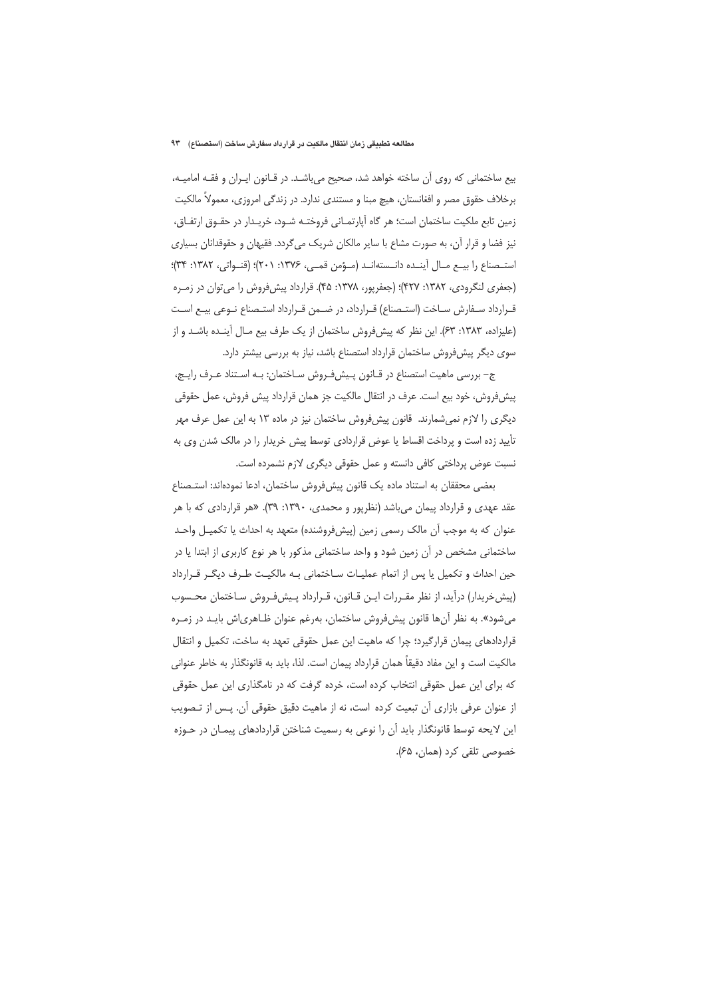بیع ساختمانی که روی آن ساخته خواهد شد، صحیح می باشـد. در قـانون ایـران و فقـه امامیـه، برخلاف حقوق مصر و افغانستان، هیچ مبنا و مستندی ندارد. در زندگی امروزی، معمولاً مالکیت زمین تابع ملکیت ساختمان است؛ هر گاه آپارتمـانی فروختـه شـود، خریـدار در حقـوق ارتفـاق، نیز فضا و قرار آن، به صورت مشاع با سایر مالکان شریک میگردد. فقیهان و حقوقدانان بسیاری استـصناع را بيـع مـال آينـده دانـستهانـد (مـؤمن قمـى، ١٣٧۶: ٢٠١)؛ (قنـواتي، ١٣٨٢: ٣٣)؛ (جعفری لنگرودی، ۱۳۸۲: ۴۲۷)؛ (جعفرپور، ۱۳۷۸: ۴۵). قرارداد پیش فروش را می توان در زمـره قـرارداد سـفارش سـاخت (استـصناع) قـرارداد، در ضـمن قـرارداد استـصناع نـوعى بيـع اسـت (علیزاده، ۱۳۸۳: ۶۳). این نظر که پیش فروش ساختمان از یک طرف بیع مـال آینـده باشـد و از سوی دیگر پیشفروش ساختمان قرارداد استصناع باشد، نیاز به بررسی بیشتر دارد.

ج– بررسی ماهیت استصناع در قـانون پـیش(فـروش سـاختمان: بـه اسـتناد عـرف رایـج، پیش فروش، خود بیع است. عرف در انتقال مالکیت جز همان قرارداد پیش فروش، عمل حقوقی دیگری را لازم نمیشمارند. قانون پیشفروش ساختمان نیز در ماده ۱۳ به این عمل عرف مهر تأیید زده است و پرداخت اقساط یا عوض قراردادی توسط پیش خریدار را در مالک شدن وی به نسبت عوض پرداختی کافی دانسته و عمل حقوقی دیگری لازم نشمرده است.

بعضي محققان به استناد ماده يک قانون پيشفروش ساختمان، ادعا نمودهاند: استـصناع عقد عهدی و قرارداد پیمان میباشد (نظرپور و محمدی، ۱۳۹۰: ۳۹). «هر قراردادی که با هر عنوان كه به موجب آن مالك رسمي زمين (پيشفروشنده) متعهد به احداث يا تكميـل واحـد ساختمانی مشخص در آن زمین شود و واحد ساختمانی مذکور با هر نوع کاربری از ابتدا یا در حین احداث و تکمیل یا پس از اتمام عملیـات سـاختمانی بـه مالکیـت طـرف دیگـر قـرارداد (پیش خریدار) درآید، از نظر مقـررات ایـن قـانون، قـرارداد پـیشفـروش سـاختمان محـسوب میشود». به نظر آنها قانون پیشفروش ساختمان، بهرغم عنوان ظـاهریاش بایـد در زمـره قراردادهای پیمان قرارگیرد؛ چرا که ماهیت این عمل حقوقی تعهد به ساخت، تکمیل و انتقال مالكيت است و اين مفاد دقيقاً همان قرارداد پيمان است. لذا، بايد به قانونگذار به خاطر عنواني که برای این عمل حقوقی انتخاب کرده است، خرده گرفت که در نامگذاری این عمل حقوقی از عنوان عرفی بازاری آن تبعیت کرده است، نه از ماهیت دقیق حقوقی آن. پـس از تـصویب این لایحه توسط قانونگذار باید آن را نوعی به رسمیت شناختن قراردادهای پیمـان در حـوزه خصوصي تلقى كرد (همان، ۶۵).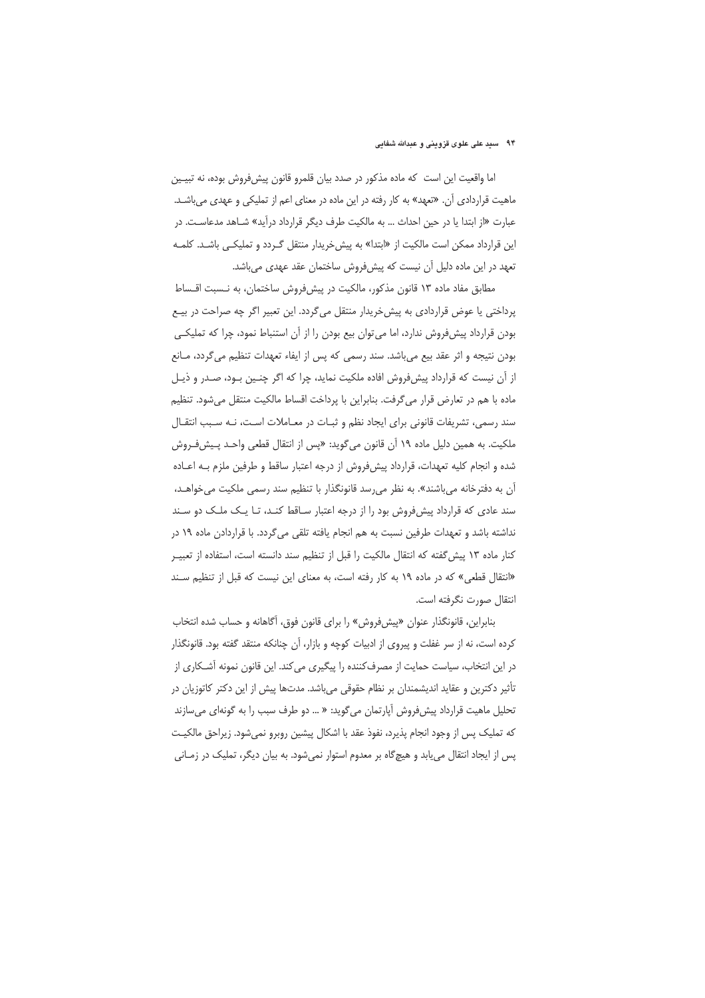### ۹۴٪ سید علی علوی قزوینی و عبدالله شفایی

اما واقعیت این است که ماده مذکور در صدد بیان قلمرو قانون پیشفروش بوده، نه تبیـین ماهیت قراردادی آن. «تعهد» به کار رفته در این ماده در معنای اعم از تملیکی و عهدی میباشد. عبارت «از ابتدا یا در حین احداث … به مالکیت طرف دیگر قرارداد درآید» شــاهد مدعاســت. در این قرارداد ممکن است مالکیت از «ابتدا» به پیش خریدار منتقل گـردد و تملیکـی باشـد. کلمـه تعهد در این ماده دلیل آن نیست که پیشفروش ساختمان عقد عهدی میباشد.

مطابق مفاد ماده ۱۳ قانون مذکور، مالکیت در پیشفروش ساختمان، به نـسبت اقـساط پرداختی یا عوض قراردادی به پیش خریدار منتقل میگردد. این تعبیر اگر چه صراحت در بیع بودن قرارداد پیش فروش ندارد، اما می توان بیع بودن را از آن استنباط نمود، چرا که تملیکی بودن نتيجه و اثر عقد بيع مي باشد. سند رسمي كه پس از ايفاء تعهدات تنظيم مي گردد، مـانع از أن نيست كه قرارداد پيشفروش افاده ملكيت نمايد، چرا كه اگر چنـين بـود، صـدر و ذيـل ماده با هم در تعارض قرار می گرفت. بنابراین با پرداخت اقساط مالکیت منتقل می شود. تنظیم سند رسمی، تشریفات قانونی برای ایجاد نظم و ثبـات در معـاملات اسـت، نـه سـبب انتقـال ملكيت. به همين دليل ماده ١٩ أن قانون مي گويد: «پس از انتقال قطعي واحـد پـيشفـروش شده و انجام کلیه تعهدات، قرارداد پیشفروش از درجه اعتبار ساقط و طرفین ملزم بـه اعــاده آن به دفترخانه می باشند». به نظر می رسد قانونگذار با تنظیم سند رسمی ملکیت می خواهـد، سند عادی که قرارداد پیش فروش بود را از درجه اعتبار ساقط کنـد، تـا یـک ملـک دو سـند نداشته باشد و تعهدات طرفین نسبت به هم انجام یافته تلقی میگردد. با قراردادن ماده ۱۹ در كنار ماده ١٣ پيش گفته كه انتقال مالكيت را قبل از تنظيم سند دانسته است، استفاده از تعبيـر «انتقال قطعی» که در ماده ۱۹ به کار رفته است، به معنای این نیست که قبل از تنظیم سـند انتقال صورت نگرفته است.

بنابراین، قانونگذار عنوان «پیشفروش» را برای قانون فوق، آگاهانه و حساب شده انتخاب کرده است، نه از سر غفلت و پیروی از ادبیات کوچه و بازار، آن چنانکه منتقد گفته بود. قانونگذار در این انتخاب، سیاست حمایت از مصرف کننده را پیگیری می کند. این قانون نمونه آشـکاری از تأثیر دکترین و عقاید اندیشمندان بر نظام حقوقی میباشد. مدتها پیش از این دکتر کاتوزیان در تحلیل ماهیت قرارداد پیش فروش آپارتمان می گوید: « … دو طرف سبب را به گونهای می سازند كه تمليك پس از وجود انجام پذيرد، نفوذ عقد با اشكال پيشين روبرو نمي شود. زيراحق مالكيـت پس از ایجاد انتقال می یابد و هیچگاه بر معدوم استوار نمیشود. به بیان دیگر، تملیک در زمـانی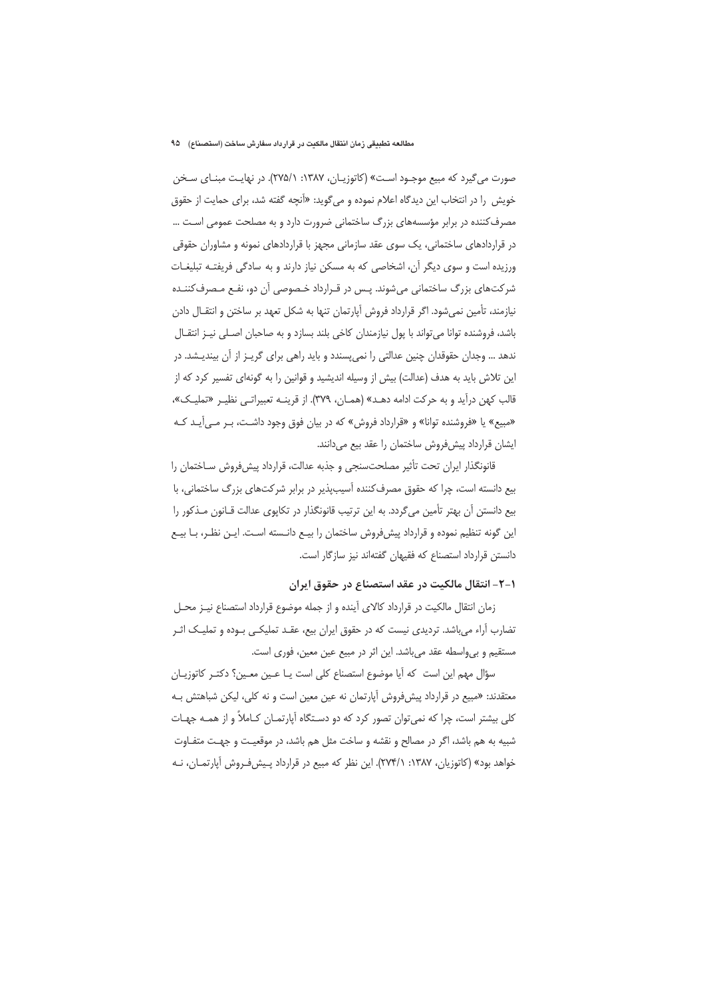صورت می گیرد که مبیع موجـود اسـت» (کاتوزیـان، ۱۳۸۷: ۲۷۵/۱). در نهایـت مبنـای سـخن خویش را در انتخاب این دیدگاه اعلام نموده و میگوید: «آنچه گفته شد، برای حمایت از حقوق مصرف کننده در برابر مؤسسههای بزرگ ساختمانی ضرورت دارد و به مصلحت عمومی است … در قراردادهای ساختمانی، یک سوی عقد سازمانی مجهز با قراردادهای نمونه و مشاوران حقوقی ورزیده است و سوی دیگر آن، اشخاصی که به مسکن نیاز دارند و به سادگی فریفتـه تبلیغـات شر کتهای بزرگ ساختمانی می شوند. پس در قـرارداد خـصوصی آن دو، نفـع مـصرف کننـده نیازمند، تأمین نمیشود. اگر قرارداد فروش آپارتمان تنها به شکل تعهد بر ساختن و انتقـال دادن باشد، فروشنده توانا می تواند با پول نیازمندان کاخی بلند بسازد و به صاحبان اصـلی نیـز انتقـال ندهد ... وجدان حقوقدان چنین عدالتی را نمیپسندد و باید راهی برای گریـز از آن بیندیـشد. در این تلاش باید به هدف (عدالت) بیش از وسیله اندیشید و قوانین را به گونهای تفسیر کرد که از قالب كهن درآيد و به حركت ادامه دهـد» (همـان، ٣٧٩). از قرينــه تعبيراتــي نظيـر «تمليـك»، «مبیع» یا «فروشنده توانا» و «قرارداد فروش» که در بیان فوق وجود داشت، بـر مــ ,آیـد کـه ایشان قرارداد پیشفروش ساختمان را عقد بیع میدانند.

قانونگذار ایران تحت تأثیر مصلحتسنجی و جذبه عدالت، قرارداد پیش فروش سـاختمان را بیع دانسته است، چرا که حقوق مصرفکننده آسیبیذیر در برابر شرکتهای بزرگ ساختمانی، با بیع دانستن آن بهتر تأمین میگردد. به این ترتیب قانونگذار در تکاپوی عدالت قـانون مـذکور را این گونه تنظیم نموده و قرارداد پیشفروش ساختمان را بیـع دانـسته اسـت. ایـن نظـر، بـا بیـع دانستن قرارداد استصناع که فقیهان گفتهاند نیز سازگار است.

#### ۱–۲– انتقال مالکیت در عقد استصناع در حقوق ایران

زمان انتقال مالکیت در قرارداد کالای آینده و از جمله موضوع قرارداد استصناع نیـز محـل تضارب آراء می باشد. تردیدی نیست که در حقوق ایران بیع، عقـد تملیکـی بـوده و تملیـک اثـر مستقیم و بی واسطه عقد می باشد. این اثر در مبیع عین معین، فوری است.

سؤال مهم این است که آیا موضوع استصناع کلی است یـا عـین معـین؟ دکتـر کاتوزیـان معتقدند: «مبیع در قرارداد پیش فروش آپارتمان نه عین معین است و نه کلی، لیکن شباهتش بـه کلی بیشتر است، چرا که نمی¤وان تصور کرد که دو دسـتگاه آپارتمـان کـاملاً و از همـه جهـات شبیه به هم باشد، اگر در مصالح و نقشه و ساخت مثل هم باشد، در موقعیت و جهت متفـاوت خواهد بود» (کاتوزیان، ۱۳۸۷: ۲۷۴/۱). این نظر که مبیع در قرارداد پـیشفـروش آپارتمـان، نـه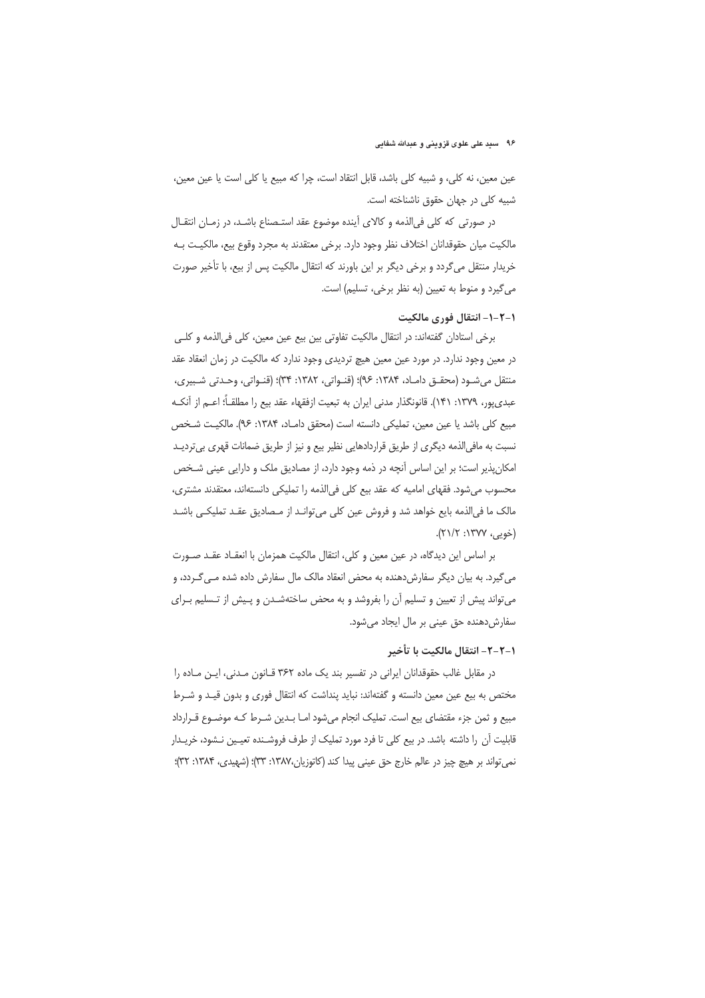#### ۹۶٪ سید علی علوی قزوینی و عبدالله شفایی

عين معين، نه كلي، و شبيه كلي باشد، قابل انتقاد است، چرا كه مبيع يا كلي است يا عين معين، شبیه کلی در جهان حقوق ناشناخته است.

در صورتی که کلی فی|لذمه و کالای آینده موضوع عقد استـصناع باشـد، در زمـان انتقـال مالكيت ميان حقوقدانان اختلاف نظر وجود دارد. برخي معتقدند به مجرد وقوع بيع، مالكيـت بـه خریدار منتقل میگردد و برخی دیگر بر این باورند که انتقال مالکیت پس از بیع، با تأخیر صورت می گیرد و منوط به تعیین (به نظر برخی، تسلیم) است.

## ١-٢-١- انتقال فوري مالكيت

برخي استادان گفتهاند: در انتقال مالكيت تفاوتي بين بيع عين معين، كلي في الذمه و كلـي در معین وجود ندارد. در مورد عین معین هیچ تردیدی وجود ندارد که مالکیت در زمان انعقاد عقد منتقل میشـود (محقـق دامـاد، ۱۳۸۴: ۹۶)؛ (قنـواتی، ۱۳۸۲: ۳۴)؛ (قنـواتی، وحـدتی شـبیری، عبدي پور، ١٣٧٩: ١۴١). قانونگذار مدني ايران به تبعيت ازفقهاء عقد بيع را مطلقــأ؛ اعــم از آنكــه مبيع كلي باشد يا عين معين، تمليكي دانسته است (محقق دامـاد، ١٣٨۴: ٩۶). مالكيـت شـخص نسبت به مافی الذمه دیگری از طریق قراردادهایی نظیر بیع و نیز از طریق ضمانات قهری بیتردیـد امکان پذیر است؛ بر این اساس آنچه در ذمه وجود دارد، از مصادیق ملک و دارایی عینی شـخص محسوب می شود. فقهای امامیه که عقد بیع کلی فی الذمه را تملیکی دانستهاند، معتقدند مشتری، مالک ما فیالذمه بایع خواهد شد و فروش عین کلی میتوانـد از مـصادیق عقـد تملیکـی باشـد (خويى، ١٣٧٧: ٢١/٢).

بر اساس این دیدگاه، در عین معین و کلی، انتقال مالکیت همزمان با انعقـاد عقـد صـورت می گیرد. به بیان دیگر سفارش دهنده به محض انعقاد مالک مال سفارش داده شده مـی گـردد، و می تواند پیش از تعیین و تسلیم آن را بفروشد و به محض ساختهشـدن و پـیش از تـسلیم بـرای سفارش دهنده حق عینی بر مال ایجاد می شود.

## ١-٢-٢- انتقال مالكيت با تأخير

در مقابل غالب حقوقدانان ایرانی در تفسیر بند یک ماده ٣۶٢ قـانون مـدنی، ایـن مـاده را مختص به بیع عین معین دانسته و گفتهاند: نباید پنداشت که انتقال فوری و بدون قیـد و شـرط مبیع و ثمن جزء مقتضای بیع است. تملیک انجام میشود امـا بـدین شـرط کـه موضـوع قـرارداد قابلیت آن را داشته باشد. در بیع کلی تا فرد مورد تملیک از طرف فروشـنده تعیـین نـشود، خریـدار نمي تواند بر هيچ چيز در عالم خارج حق عيني پيدا كند (كاتوزيان،١٣٨٧: ٣٣)؛ (شهيدي، ١٣٨۴: ٣٣)؛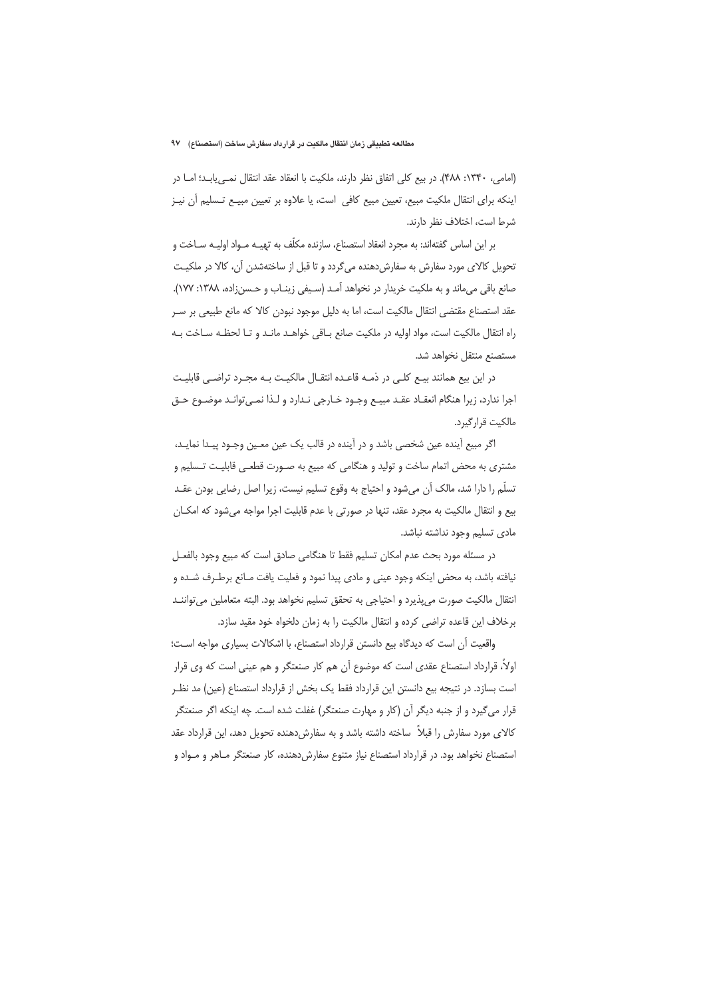(امامی، ١٣۴٠: ۴٨٨). در بيع كلي اتفاق نظر دارند، ملكيت با انعقاد عقد انتقال نمهي يابـد؛ امـا در اینکه برای انتقال ملکیت مبیع، تعیین مبیع کافی است، یا علاوه بر تعیین مبیـع تـسلیم آن نیـز شرط است، اختلاف نظر دارند.

بر این اساس گفتهاند: به مجرد انعقاد استصناع، سازنده مکلّف به تهیــه مــواد اولیــه ســاخت و تحویل کالای مورد سفارش به سفارش دهنده میگردد و تا قبل از ساختهشدن آن، کالا در ملکیت صانع باقی می ماند و به ملکیت خریدار در نخواهد آمـد (سـیفی زینـاب و حـسنزاده، ۱۳۸۸: ۱۷۷). عقد استصناع مقتضى انتقال مالكيت است، اما به دليل موجود نبودن كالا كه مانع طبيعي بر سـر راه انتقال مالكيت است، مواد اوليه در ملكيت صانع باقى خواهـد مانـد وتا لحظـه سـاخت بـه مستصنع منتقل نخواهد شد.

در این بیع همانند بیـع کلـی در ذمـه قاعـده انتقـال مالکیـت بـه مجـرد تراضـی قابلیـت اجرا ندارد، زیرا هنگام انعقـاد عقـد مبیـع وجـود خـارجی نـدارد و لـذا نمـی توانـد موضـوع حـق مالكيت قرارگيرد.

اگر مبیع آینده عین شخصی باشد و در آینده در قالب یک عین معـین وجـود پیـدا نمایـد، مشتری به محض اتمام ساخت و تولید و هنگامی که مبیع به صـورت قطعـی قابلیـت تـسلیم و تسلَّم را دارا شد، مالک آن می شود و احتیاج به وقوع تسلیم نیست، زیرا اصل رضایی بودن عقـد بیع و انتقال مالکیت به مجرد عقد، تنها در صورتی با عدم قابلیت اجرا مواجه میشود که امکـان مادی تسلیم وجود نداشته نباشد.

در مسئله مورد بحث عدم امكان تسليم فقط تا هنگامي صادق است كه مبيع وجود بالفعـل نيافته باشد، به محض اينكه وجود عيني و مادي پيدا نمود و فعليت يافت مـانع برطـرف شـده و انتقال مالكيت صورت مى پذيرد و احتياجي به تحقق تسليم نخواهد بود. البته متعاملين مى تواننـد برخلاف این قاعده تراضی کرده و انتقال مالکیت را به زمان دلخواه خود مقید سازد.

واقعیت آن است که دیدگاه بیع دانستن قرارداد استصناع، با اشکالات بسیاری مواجه است؛ اولاً، قرارداد استصناع عقدي است كه موضوع آن هم كار صنعتگر و هم عيني است كه وي قرار است بسازد. در نتیجه بیع دانستن این قرارداد فقط یک بخش از قرارداد استصناع (عین) مد نظـر قرار می گیرد و از جنبه دیگر آن (کار و مهارت صنعتگر) غفلت شده است. چه اینکه اگر صنعتگر کالای مورد سفارش را قبلاً ساخته داشته باشد و به سفارش دهنده تحویل دهد، این قرارداد عقد استصناع نخواهد بود. در قرارداد استصناع نیاز متنوع سفارش دهنده، کار صنعتگر مـاهر و مـواد و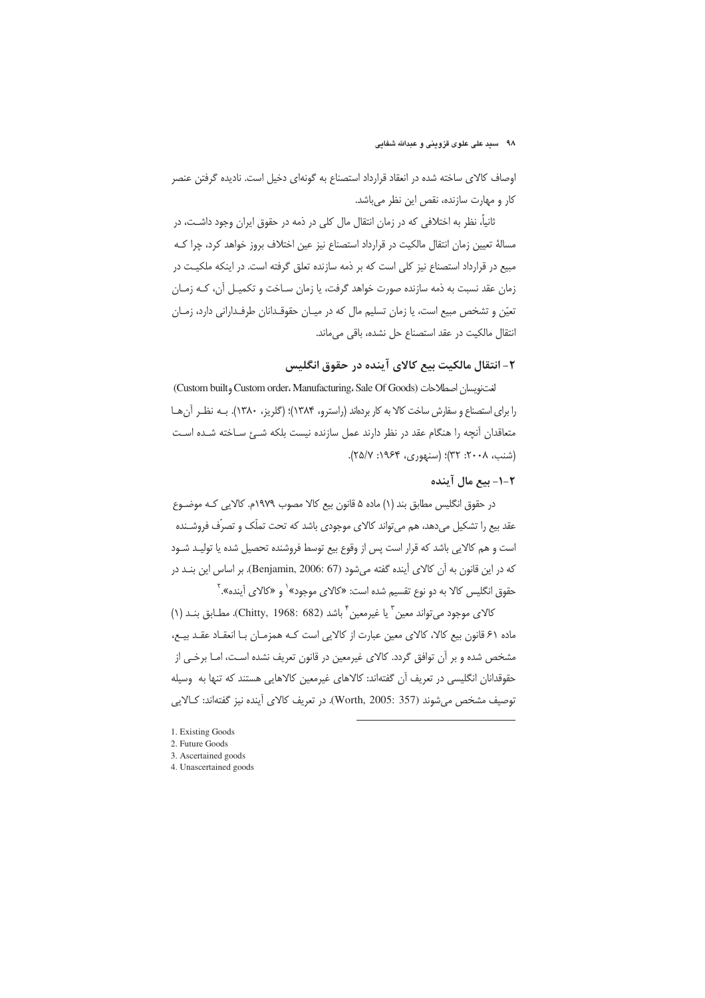اوصاف كالاي ساخته شده در انعقاد قرارداد استصناع به گونهاي دخيل است. ناديده گرفتن عنصر كار و مهارت سازنده، نقص اين نظر مى باشد.

ثانیاً، نظر به اختلافی که در زمان انتقال مال کلی در ذمه در حقوق ایران وجود داشـت، در مسالهٔ تعیین زمان انتقال مالکیت در قرارداد استصناع نیز عین اختلاف بروز خواهد کرد، چرا کـه مبیع در قرارداد استصناع نیز کلی است که بر ذمه سازنده تعلق گرفته است. در اینکه ملکیت در زمان عقد نسبت به ذمه سازنده صورت خواهد گرفت، یا زمان سـاخت و تکمیـل آن، کـه زمـان تعیّن و تشخص مبیع است، یا زمان تسلیم مال که در میـان حقوقـدانان طرفـدارانی دارد، زمـان انتقال مالكيت در عقد استصناع حل نشده، باقى مى ماند.

## ۲- انتقال مالکیت بیع کالای آینده در حقوق انگلیس

لغت نويسان اصطلاحات (Custom built, Custom order، Manufacturing، Sale Of Goods) را برای استصناع و سفارش ساخت کالا به کار بردهاند (راسترو، ۱۳۸۴)؛ (گلریز، ۱۳۸۰). بـه نظـر آن هـا متعاقدان آنچه را هنگام عقد در نظر دارند عمل سازنده نیست بلکه شـئ سـاخته شـده اسـت (شنب، ۲۰۰۸: ۳۲)؛ (سنهوري، ۱۹۶۴: ۲۵/۷).

# ۲–۱– بیع مال آینده

در حقوق انگلیس مطابق بند (١) ماده ۵ قانون بیع کالا مصوب ١٩٧٩م. کالایی کـه موضــوع عقد بیع را تشکیل میدهد، هم میتواند کالای موجودی باشد که تحت تملّک و تصرّف فروشـنده است و هم كالايي باشد كه قرار است پس از وقوع بيع توسط فروشنده تحصيل شده يا توليـد شـود كه در اين قانون به آن كالاى آينده گفته مى شود (Benjamin, 2006: 67). بر اساس اين بنـد در حقوق انگلیس کالا به دو نوع تقسیم شده است: «کالای موجود» <sup>\</sup> و «کالای اَینده». <sup>۲</sup>

كالاي موجود مي تواند معين " يا غيرمعين " باشد (Chitty, 1968: 682). مطـابق بنــد (١) ماده ۶۱ قانون بیع کالا، کالای معین عبارت از کالایی است کـه همزمـان بـا انعقـاد عقـد بیـع، مشخص شده و بر آن توافق گردد. کالای غیرمعین در قانون تعریف نشده است، امـا برخـی از حقوقدانان انگلیسی در تعریف آن گفتهاند: کالاهای غیرمعین کالاهایی هستند که تنها به وسیله توصيف مشخص مي شوند (Worth, 2005: 357). در تعريف كالاي أينده نيز گفتهاند: كـالايي

- 1. Existing Goods
- 2. Future Goods
- 3. Ascertained goods
- 4. Unascertained goods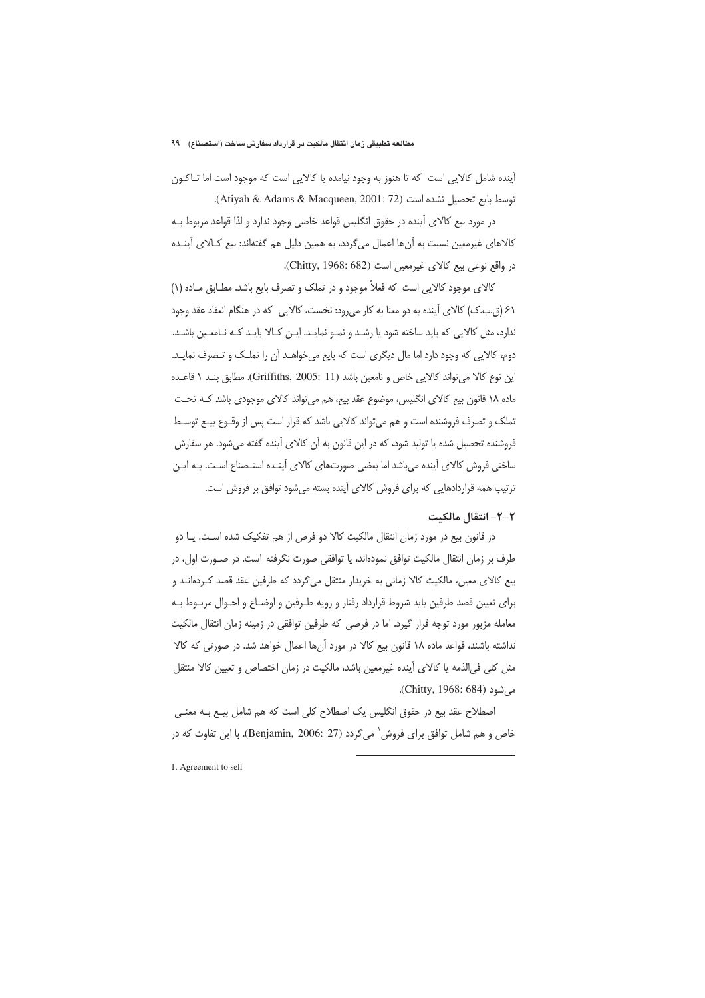آینده شامل کالایی است که تا هنوز به وجود نیامده یا کالایی است که موجود است اما تـاکنون توسط بايع تحصيل نشده است (Atiyah & Adams & Macqueen, 2001: 72).

در مورد بیع کالای آینده در حقوق انگلیس قواعد خاصی وجود ندارد و لذا قواعد مربوط بـه كالاهاى غيرمعين نسبت به أنها اعمال مىگردد، به همين دليل هم گفتهاند: بيع كـالاى أينــده در واقع نوعي بيع كالاي غيرمعين است (Chitty, 1968: 682).

کالای موجود کالایی است که فعلاً موجود و در تملک و تصرف بایع باشد. مطـابق مـاده (۱) ۶۱ (ق.ب.ک) کالای آینده به دو معنا به کار میرود: نخست، کالایی که در هنگام انعقاد عقد وجود ندارد، مثل کالایی که باید ساخته شود یا رشـد و نمـو نمایـد. ایـن کـالا بایـد کـه نـامعـین باشـد. دوم، کالایی که وجود دارد اما مال دیگری است که بایع میخواهـد آن را تملـک و تـصرف نمایـد. این نوع کالا می تواند کالایی خاص و نامعین باشد (Griffiths, 2005: 11). مطابق بند ١ قاعده ماده ۱۸ قانون بیع کالای انگلیس، موضوع عقد بیع، هم می¤واند کالای موجودی باشد کـه تحـت تملک و تصرف فروشنده است و هم می¤واند کالایی باشد که قرار است پس از وقـوع بیـع توسـط فروشنده تحصیل شده یا تولید شود، که در این قانون به آن کالای آینده گفته میشود. هر سفارش ساختی فروش کالای آینده می باشد اما بعضی صورتهای کالای آینـده استـصناع اسـت. بـه ایـن ترتیب همه قراردادهایی که برای فروش کالای آینده بسته میشود توافق بر فروش است.

## ٢-٢- انتقال مالكيت

در قانون بیع در مورد زمان انتقال مالکیت کالا دو فرض از هم تفکیک شده است. یـا دو طرف بر زمان انتقال مالكيت توافق نمودهاند، يا توافقي صورت نگرفته است. در صـورت اول، در بیع کالای معین، مالکیت کالا زمانی به خریدار منتقل می¢ردد که طرفین عقد قصد کـردهانـد و برای تعیین قصد طرفین باید شروط قرارداد رفتار و رویه طـرفین و اوضـاع و احـوال مربـوط بـه معامله مزبور مورد توجه قرار گیرد. اما در فرضی که طرفین توافقی در زمینه زمان انتقال مالکیت نداشته باشند، قواعد ماده ١٨ قانون بيع كالا در مورد أنها اعمال خواهد شد. در صورتي كه كالا مثل کلی فی|لذمه یا کالای آینده غیرمعین باشد، مالکیت در زمان اختصاص و تعیین کالا منتقل میشود (Chitty, 1968: 684).

اصطلاح عقد بیع در حقوق انگلیس یک اصطلاح کلی است که هم شامل بیـع بـه معنـی خاص و هم شامل توافق براي فروش ` مي گردد (Benjamin, 2006: 27). با اين تفاوت كه در

1. Agreement to sell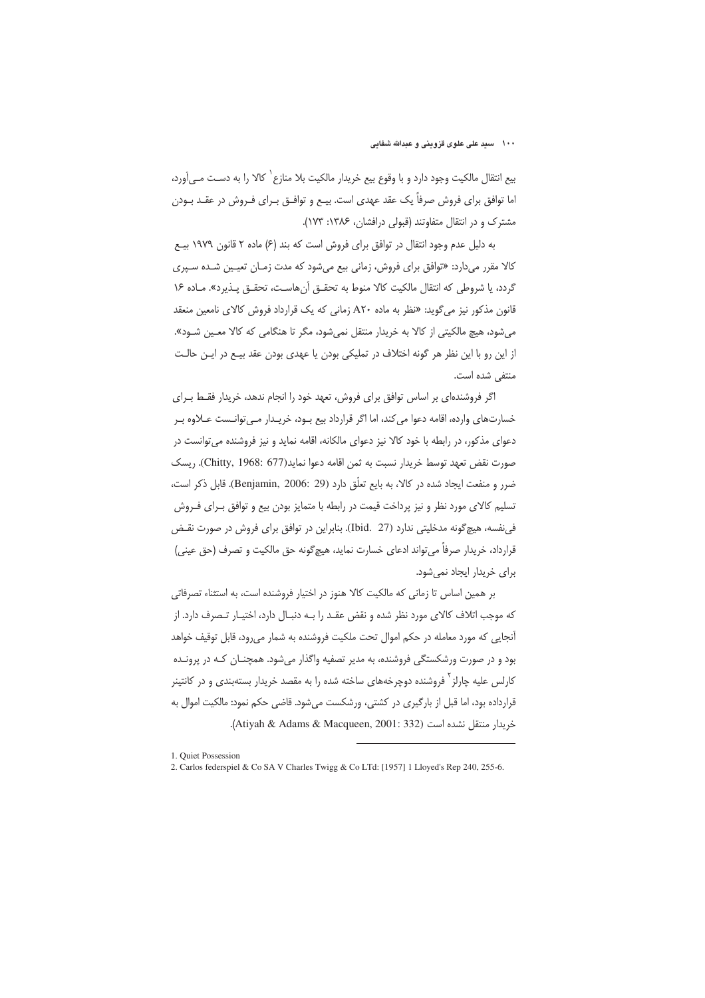۱۰۰ مسید علی علوی قزوینی و عبدالله شفایی

بيع انتقال مالكيت وجود دارد و با وقوع بيع خريدار مالكيت بلا منازع` كالا را به دسـت مـي∫ورد، اما توافق برای فروش صرفاً یک عقد عهدی است. بیـع و توافـق بــرای فــروش در عقــد بــودن مشترک و در انتقال متفاوتند (قبولی درافشان، ۱۳۸۶: ۱۷۳).

به دلیل عدم وجود انتقال در توافق برای فروش است که بند (۶) ماده ۲ قانون ۱۹۷۹ بیـع کالا مقرر میدارد: «توافق برای فروش، زمانی بیع می شود که مدت زمـان تعیـین شـده سـیری گردد، یا شروطی که انتقال مالکیت کالا منوط به تحقـق آنهاسـت، تحقـق پـذیرد». مـاده ۱۶ قانون مذکور نیز می گوید: «نظر به ماده A۲۰ زمانی که یک قرارداد فروش کالای نامعین منعقد می شود، هیچ مالکیتی از کالا به خریدار منتقل نمی شود، مگر تا هنگامی که کالا معین شـود». از این رو با این نظر هر گونه اختلاف در تملیکی بودن یا عهدی بودن عقد بیـع در ایـن حالـت منتفى شده است.

اگر فروشندهای بر اساس توافق برای فروش، تعهد خود را انجام ندهد، خریدار فقـط بـرای خسارتهای وارده، اقامه دعوا می کند، اما اگر قرارداد بیع بــود، خریــدار مــی توانــست عــلاوه بــر دعوای مذکور، در رابطه با خود کالا نیز دعوای مالکانه، اقامه نماید و نیز فروشنده میتوانست در صورت نقض تعهد توسط خريدار نسبت به ثمن اقامه دعوا نمايد(Chitty, 1968: 677). ريسك ضرر و منفعت ايجاد شده در كالا، به بايع تعلّق دارد (Benjamin, 2006: 29). قابل ذكر است، تسلیم کالای مورد نظر و نیز پرداخت قیمت در رابطه با متمایز بودن بیع و توافق بـرای فـروش في نفسه، هيچ گونه مدخليتي ندارد (Ibid. 27). بنابراين در توافق براي فروش در صورت نقـض قرارداد، خريدار صرفاً مي تواند ادعاى خسارت نمايد، هيچ گونه حق مالكيت و تصرف (حق عيني) برای خریدار ایجاد نمی شود.

بر همین اساس تا زمانی که مالکیت کالا هنوز در اختیار فروشنده است، به استثناء تصرفاتی که موجب اتلاف کالای مورد نظر شده و نقض عقـد را بـه دنبـال دارد، اختيـار تـصرف دارد. از آنجایی که مورد معامله در حکم اموال تحت ملکیت فروشنده به شمار میرود، قابل توقیف خواهد بود و در صورت ورشکستگی فروشنده، به مدیر تصفیه واگذار می شود. همچنــان کــه در پرونــده کارلس علیه چارلز<sup>۲</sup> فروشنده دوچرخههای ساخته شده را به مقصد خریدار بستهبندی و در کانتینر قرارداده بود، اما قبل از بارگیری در کشتی، ورشکست میشود. قاضی حکم نمود: مالکیت اموال به خريدار منتقل نشده است (Atiyah & Adams & Macqueen, 2001: 332).

<sup>1</sup> Ouiet Possession

<sup>2.</sup> Carlos federspiel & Co SA V Charles Twigg & Co LTd: [1957] 1 Lloyed's Rep 240, 255-6.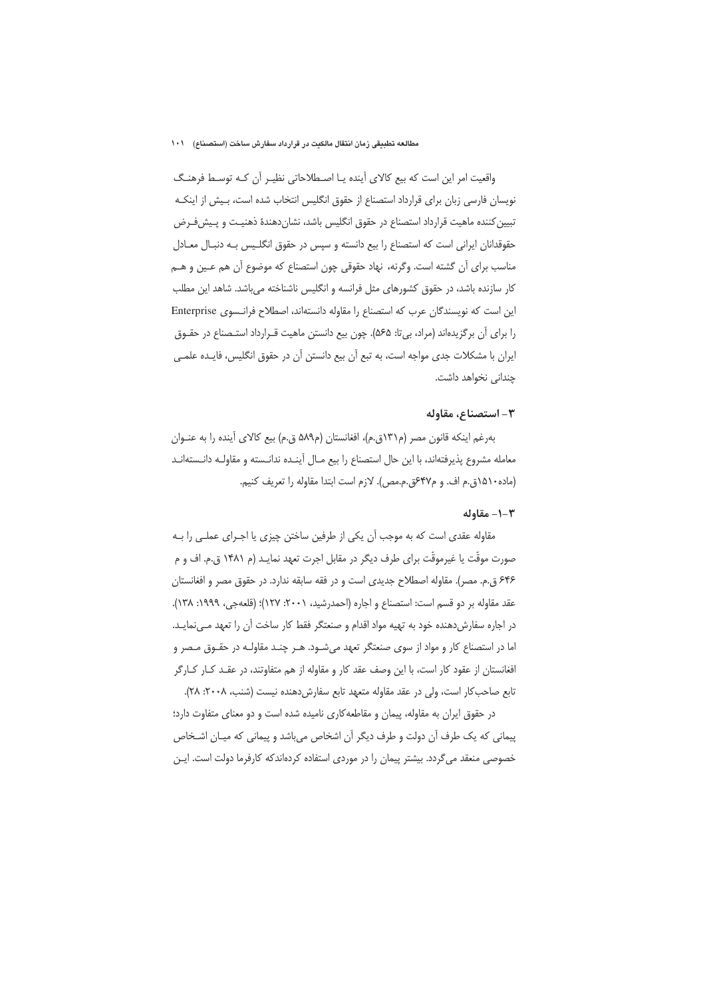واقعیت امر این است که بیع کالای آینده یـا اصـطلاحاتی نظیـر آن کـه توسـط فرهنـگ نويسان فارسي زبان براي قرارداد استصناع از حقوق انگليس انتخاب شده است، بـيش از اينكـه تبیین کننده ماهیت قرارداد استصناع در حقوق انگلیس باشد، نشاندهندهٔ ذهنیـت و پـیشفـرض حقوقدانان ایرانی است که استصناع را بیع دانسته و سپس در حقوق انگلیس بـه دنبـال معـادل مناسب برای آن گشته است. وگرنه، نهاد حقوقی چون استصناع که موضوع آن هم عـین و هــم کار سازنده باشد، در حقوق کشورهای مثل فرانسه و انگلیس ناشناخته میباشد. شاهد این مطلب این است که نویسندگان عرب که استصناع را مقاوله دانستهاند، اصطلاح فرانسوی Enterprise را برای آن برگزیدهاند (مراد، بیتا: ۵۶۵). چون بیع دانستن ماهیت قـرارداد استـصناع در حقـوق ایران با مشکلات جدی مواجه است، به تبع آن بیع دانستن آن در حقوق انگلیس، فایـده علمـی چندانی نخواهد داشت.

#### ٣- استصناع، مقاوله

بهرغم اينكه قانون مصر (م١٣١ق.م)، افغانستان (م٥٨٩ ق.م) بيع كالاي آينده را به عنـوان معامله مشروع پذیرفتهاند، با این حال استصناع را بیع مـال آینـده ندانـسته و مقاولـه دانـستهانـد (ماده ۱۵۱۰ق.م اف. و م۴۷عق.م.مص). لازم است ابتدا مقاوله را تعریف کنیم.

### ١-٢- مقاوله

مقاوله عقدی است که به موجب آن یکی از طرفین ساختن چیزی یا اجـرای عملـی را بـه صورت موقَّت یا غیرموقَّت برای طرف دیگر در مقابل اجرت تعهد نمایـد (م ۱۴۸۱ ق.م. اف و م ۶۴۶ ق.م. مصر). مقاوله اصطلاح جدیدی است و در فقه سابقه ندارد. در حقوق مصر و افغانستان عقد مقاوله بر دو قسم است: استصناع و اجاره (احمدرشید، ۲۰۰۱: ۱۲۷)؛ (قلعهجی، ۱۹۹۹: ۱۳۸). در اجاره سفارشدهنده خود به تهیه مواد اقدام و صنعتگر فقط کار ساخت آن را تعهد مـیiمایـد. اما در استصناع کار و مواد از سوی صنعتگر تعهد می شـود. هـر چنـد مقاولـه در حقـوق مـصر و افغانستان از عقود کار است، با این وصف عقد کار و مقاوله از هم متفاوتند، در عقـد کــار کــارگر تابع صاحب كار است، ولى در عقد مقاوله متعهد تابع سفارش دهنده نيست (شنب، ٢٠٠٨: ٢٨).

در حقوق ایران به مقاوله، پیمان و مقاطعه کاری نامیده شده است و دو معنای متفاوت دارد؛ پیمانی که یک طرف آن دولت و طرف دیگر آن اشخاص میباشد و پیمانی که میـان اشـخاص خصوصی منعقد می گردد. بیشتر پیمان را در موردی استفاده کردهاندکه کارفرما دولت است. ایـن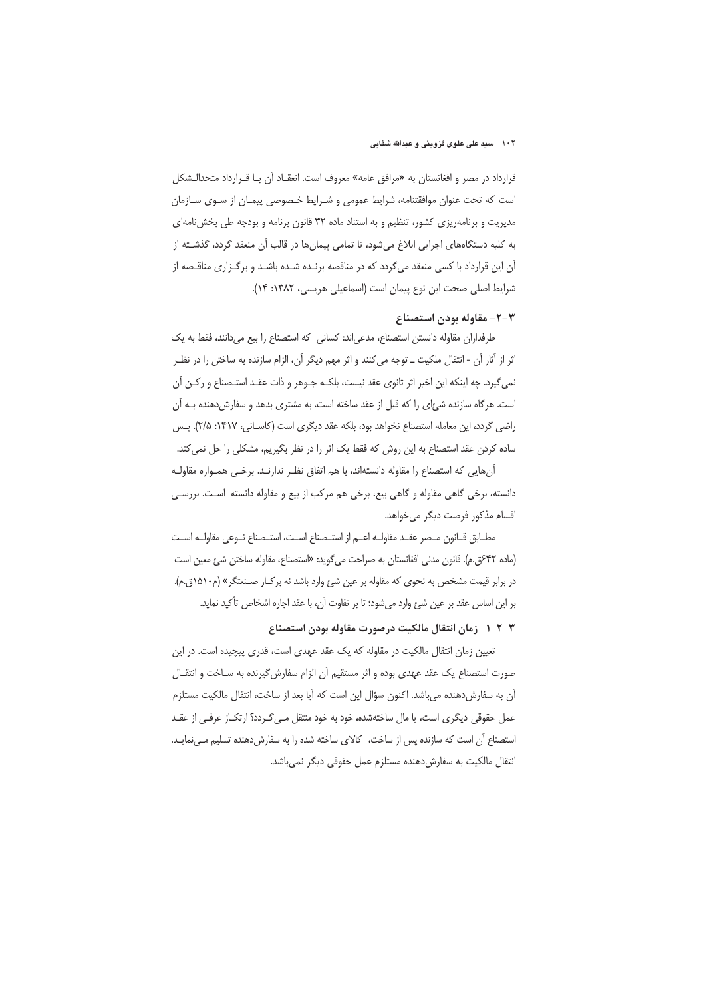#### ۱۰۲ مسید علی علوی قزوینی و عبدالله شفایی

قرارداد در مصر و افغانستان به «مرافق عامه» معروف است. انعقـاد آن بـا قـرارداد متحدالـشكل است که تحت عنوان موافقتنامه، شرایط عمومی و شـرایط خـصوصی پیمـان از سـوی سـازمان مدیریت و برنامهریزی کشور، تنظیم و به استناد ماده ۳۲ قانون برنامه و بودجه طی بخشiامهای به کلیه دستگاههای اجرایی ابلاغ میشود، تا تمامی پیمانها در قالب آن منعقد گردد، گذشـته از آن این قرارداد با کسی منعقد میگردد که در مناقصه برنـده شـده باشـد و برگـزاری مناقـصه از شرايط اصلى صحت اين نوع پيمان است (اسماعيلي هريسي، ١٣٨٢: ١۴).

# ٣-٢- مقاوله بودن استصناع

طرفداران مقاوله دانستن استصناع، مدعىاند: كسانى كه استصناع را بيع مىدانند، فقط به يك اثر از آثار آن - انتقال ملکیت ــ توجه می کنند و اثر مهم دیگر آن، الزام سازنده به ساختن را در نظـر نمي گيرد. چه اينكه اين اخير اثر ثانوي عقد نيست، بلكـه جـوهر و ذات عقـد استـصناع و ركـن آن است. هرگاه سازنده شئ|ی را که قبل از عقد ساخته است، به مشتری بدهد و سفارش دهنده بـه آن راضي گردد، اين معامله استصناع نخواهد بود، بلكه عقد ديكرى است (كاساني، ١۴١٧: ٢/٥). پس ساده کردن عقد استصناع به این روش که فقط یک اثر را در نظر بگیریم، مشکلی را حل نمی کند.

آنهایی که استصناع را مقاوله دانستهاند، با هم اتفاق نظـر ندارنـد. برخـی همـواره مقاولـه دانسته، برخی گاهی مقاوله و گاهی بیع، برخی هم مرکب از بیع و مقاوله دانسته است. بررسی اقسام مذكور فرصت ديگر مي خواهد.

مطـابق قـانون مـصر عقــد مقاولــه اعــم از استــصناع اســت، استــصناع نــوعى مقاولــه اســت (ماده ۴۲عق.م). قانون مدنى افغانستان به صراحت مى گويد: «استصناع، مقاوله ساختن شئ معين است در برابر قیمت مشخص به نحوی که مقاوله بر عین شئ وارد باشد نه برک[ر صـنعتگر» (م۱۵۱۰ق.م). بر این اساس عقد بر عین شئ وارد میشود؛ تا بر تفاوت آن، با عقد اجاره اشخاص تأکید نماید.

## ٣-٢-١- زمان انتقال مالكيت درصورت مقاوله بودن استصناع

تعیین زمان انتقال مالکیت در مقاوله که یک عقد عهدی است، قدری پیچیده است. در این صورت استصناع یک عقد عهدی بوده و اثر مستقیم آن الزام سفارش گیرنده به سـاخت و انتقـال آن به سفارش،دهنده می باشد. اکنون سؤال این است که آیا بعد از ساخت، انتقال مالکیت مستلزم عمل حقوقی دیگری است، یا مال ساختهشده، خود به خود منتقل مـیگـردد؟ ارتکـاز عرفـی از عقـد استصناع آن است که سازنده پس از ساخت، کالای ساخته شده را به سفارش دهنده تسلیم مینمایـد. انتقال مالکیت به سفارش دهنده مستلزم عمل حقوقی دیگر نمی باشد.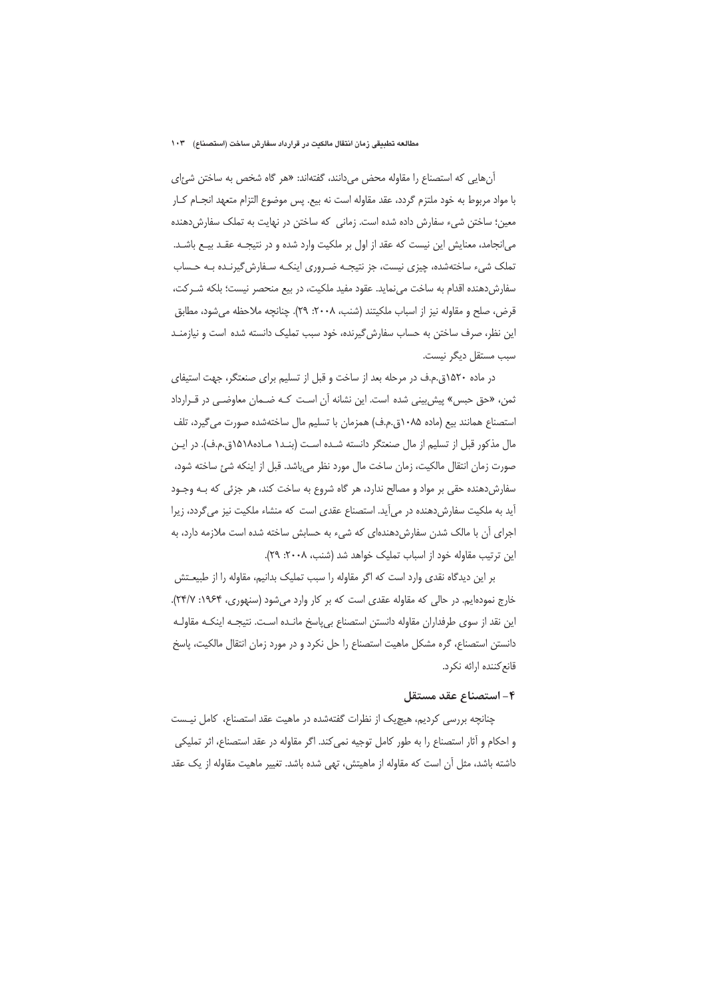آن هایی که استصناع را مقاوله محض می دانند، گفتهاند: «هر گاه شخص به ساختن شئ ای با مواد مربوط به خود ملتزم گردد، عقد مقاوله است نه بیع. پس موضوع التزام متعهد انجــام كــار معین؛ ساختن شیء سفارش داده شده است. زمانی که ساختن در نهایت به تملک سفارشدهنده می|نجامد، معنایش این نیست که عقد از اول بر ملکیت وارد شده و در نتیجـه عقـد بیـع باشـد. تملک شیء ساختهشده، چیزی نیست، جز نتیجـه ضـروری اینکـه سـفارش گیرنـده بـه حـساب سفارشدهنده اقدام به ساخت میiماید. عقود مفید ملکیت، در بیع منحصر نیست؛ بلکه شــر کت، قرض، صلح و مقاوله نيز از اسباب ملكيتند (شنب، ٢٠٠٨: ٢٩). چنانچه ملاحظه مي شود، مطابق این نظر، صرف ساختن به حساب سفارش گیرنده، خود سبب تملیک دانسته شده است و نیازمنـد سبب مستقل ديگر نيست.

در ماده ۱۵۲۰ق.م.ف در مرحله بعد از ساخت و قبل از تسلیم برای صنعتگر، جهت استیفای ثمن، «حق حبس» پیش بینی شده است. این نشانه آن است کـه ضـمان معاوضـی در قـرارداد استصناع همانند بیع (ماده ۰۸۵-۶٫ق.م.ف) همزمان با تسلیم مال ساختهشده صورت می گیرد، تلف مال مذكور قبل از تسليم از مال صنعتگر دانسته شـده اسـت (بنـد١ مـاده١٥١٨ق.م.ف). در ايـن صورت زمان انتقال مالكيت، زمان ساخت مال مورد نظر مى باشد. قبل از اينكه شئ ساخته شود، سفارش دهنده حقی بر مواد و مصالح ندارد، هر گاه شروع به ساخت کند، هر جزئی که بـه وجـود آید به ملکیت سفارش دهنده در می آید. استصناع عقدی است که منشاء ملکیت نیز می گردد، زیرا اجرای آن با مالک شدن سفارش دهندهای که شیء به حسابش ساخته شده است ملازمه دارد، به این ترتیب مقاوله خود از اسباب تملیک خواهد شد (شنب، ۲۰۰۸: ۲۹).

بر این دیدگاه نقدی وارد است که اگر مقاوله را سبب تملیک بدانیم، مقاوله را از طبیعـتش خارج نمودهایم. در حالی که مقاوله عقدی است که بر کار وارد میشود (سنهوری، ۱۹۶۴: ۲۴/۷). این نقد از سوی طرفداران مقاوله دانستن استصناع بی پاسخ مانـده اسـت. نتیجـه اینکـه مقاولـه دانستن استصناع، گره مشکل ماهیت استصناع را حل نکرد و در مورد زمان انتقال مالکیت، پاسخ قانع كننده ارائه نكرد.

## ۴– استصناع عقد مستقل

چنانچه بررسی کردیم، هیچیک از نظرات گفتهشده در ماهیت عقد استصناع، کامل نیست و احکام و آثار استصناع را به طور کامل توجیه نمی کند. اگر مقاوله در عقد استصناع، اثر تملیکی داشته باشد، مثل آن است که مقاوله از ماهیتش، تهی شده باشد. تغییر ماهیت مقاوله از یک عقد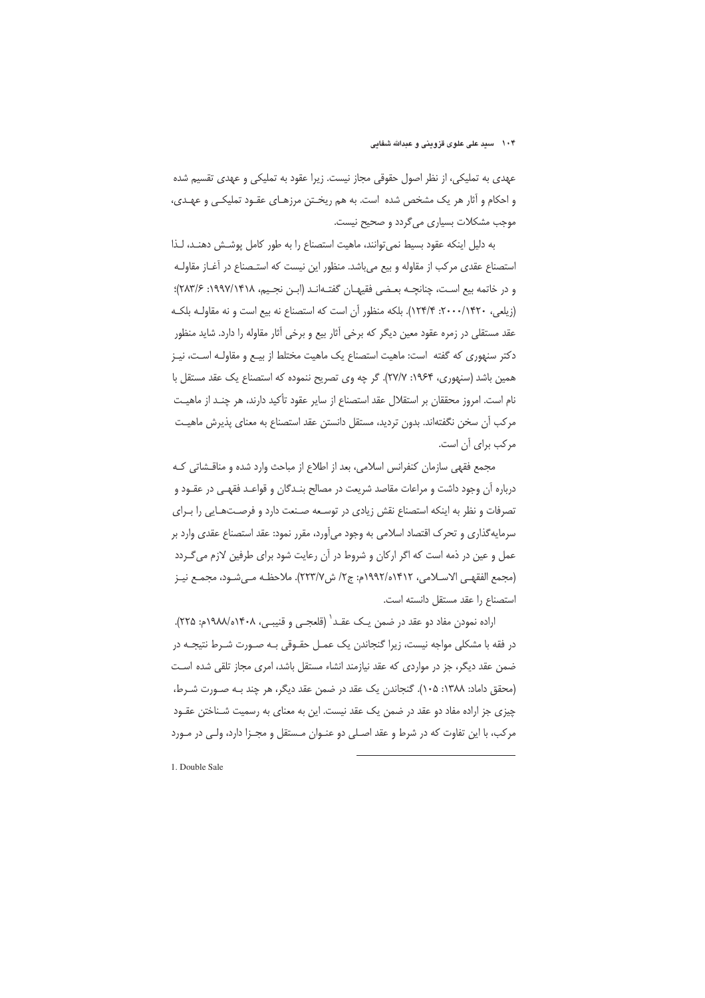عهدی به تملیکی، از نظر اصول حقوقی مجاز نیست. زیرا عقود به تملیکی و عهدی تقسیم شده و احکام و آثار هر یک مشخص شده است. به هم ریختن مرزهـای عقـود تملیکـی و عهـدی، موجب مشکلات بسیاری میگردد و صحیح نیست.

به دلیل اینکه عقود بسیط نمی توانند، ماهیت استصناع را به طور کامل پوشش دهنـد، لـذا استصناع عقدی مرکب از مقاوله و بیع میباشد. منظور این نیست که استـصناع در آغــاز مقاولــه و در خاتمه بيع است، چنانچــه بعـضي فقيهــان گفتــهانــد (ابــن نجــيم، ١٩٩٧/١۴١٨; ٢٨٣/۶)؛ (زیلعی، ۲۰۰۰/۱۴۲۰: ۱۲۴/۴). بلکه منظور آن است که استصناع نه بیع است و نه مقاولـه بلکـه عقد مستقلی در زمره عقود معین دیگر که برخی آثار بیع و برخی آثار مقاوله را دارد. شاید منظور دکتر سنهوری که گفته است: ماهیت استصناع یک ماهیت مختلط از بیـع و مقاولـه اسـت، نیـز همین باشد (سنهوری، ۱۹۶۴: ۲۷/۷). گر چه وی تصریح ننموده که استصناع یک عقد مستقل با نام است. امروز محققان بر استقلال عقد استصناع از سایر عقود تأکید دارند، هر چنـد از ماهیـت مركب آن سخن نگفتهاند. بدون ترديد، مستقل دانستن عقد استصناع به معناى پذيرش ماهيت مرکب برای آن است.

مجمع فقهی سازمان کنفرانس اسلامی، بعد از اطلاع از مباحث وارد شده و مناقـشاتی کـه درباره أن وجود داشت و مراعات مقاصد شريعت در مصالح بنـدگان و قواعـد فقهـي در عقــود و تصرفات و نظر به اینکه استصناع نقش زیادی در توسعه صـنعت دارد و فرصـتهـایی را بـرای سرمایهگذاری و تحرک اقتصاد اسلامی به وجود میآورد، مقرر نمود: عقد استصناع عقدی وارد بر عمل و عین در ذمه است که اگر ارکان و شروط در آن رعایت شود برای طرفین لازم میگـردد (مجمع الفقهـي الاسـلامي، ١٤٩٢/٥١٤١٢م: ج٢/ ش ٢٢٣/٧). ملاحظـه مـي شـود، مجمـع نيـز استصناع را عقد مستقل دانسته است.

اراده نمودن مفاد دو عقد در ضمن یـک عقـد` (قلعجـی و قنیبـی، ۱۴۰۸ه/۱۸۸م: ۲۲۵). در فقه با مشکلی مواجه نیست، زیرا گنجاندن یک عمـل حقـوقی بـه صـورت شـرط نتیجـه در ضمن عقد دیگر، جز در مواردی که عقد نیازمند انشاء مستقل باشد، امری مجاز تلقی شده است (محقق داماد: ۱۳۸۸: ۱۰۵). گنجاندن یک عقد در ضمن عقد دیگر، هر چند بـه صـورت شـرط، چیزی جز اراده مفاد دو عقد در ضمن یک عقد نیست. این به معنای به رسمیت شـناختن عقــود مرکب، با این تفاوت که در شرط و عقد اصلی دو عنـوان مـستقل و مجـزا دارد، ولـی در مـورد

1. Double Sale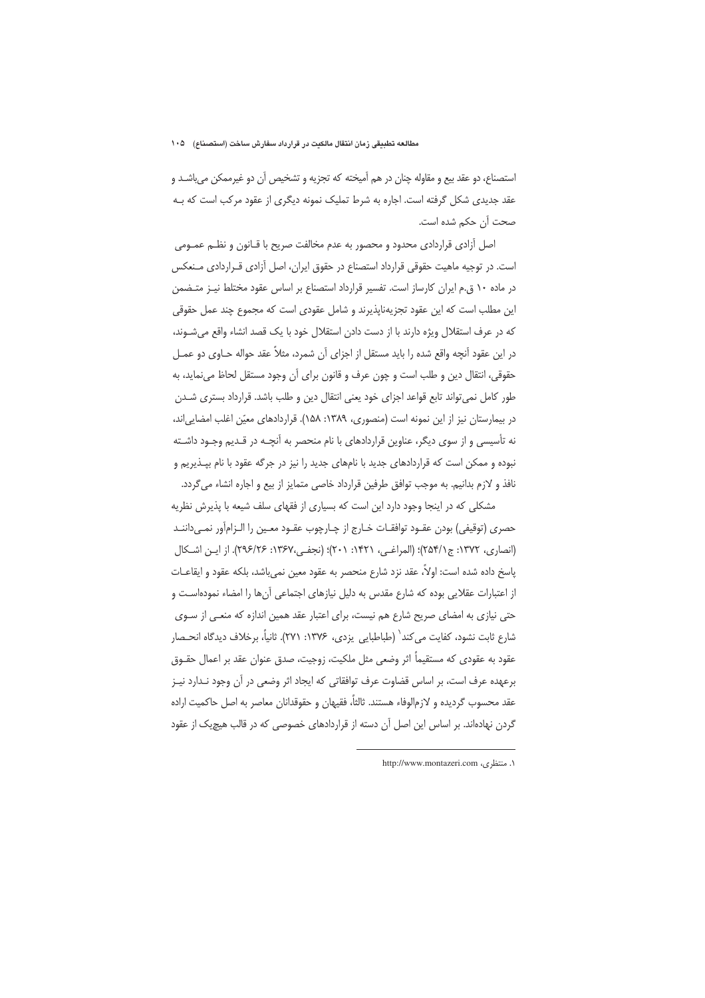استصناع، دو عقد بيع و مقاوله چنان در هم آميخته كه تجزيه و تشخيص آن دو غيرممكن مي!شـد و عقد جدیدی شکل گرفته است. اجاره به شرط تملیک نمونه دیگری از عقود مرکب است که بـه صحت آن حکم شده است.

اصل آزادی قراردادی محدود و محصور به عدم مخالفت صریح با قـانون و نظـم عمـومی است. در توجیه ماهیت حقوقی قرارداد استصناع در حقوق ایران، اصل آزادی قـراردادی مـنعکس در ماده ۱۰ ق.م ایران کارساز است. تفسیر قرارداد استصناع بر اساس عقود مختلط نیـز متـضمن این مطلب است که این عقود تجزیهناپذیرند و شامل عقودی است که مجموع چند عمل حقوقی كه در عرف استقلال ويژه دارند با از دست دادن استقلال خود با يک قصد انشاء واقع مى شـوند، در این عقود آنچه واقع شده را باید مستقل از اجزای آن شمرد، مثلاً عقد حواله حـاوی دو عمـل حقوقي، انتقال دين و طلب است و چون عرف و قانون براي آن وجود مستقل لحاظ مي نمايد، به طور كامل نمى تواند تابع قواعد اجزاى خود يعنى انتقال دين و طلب باشد. قرارداد بسترى شـدن در بیمارستان نیز از این نمونه است (منصوری، ۱۳۸۹: ۱۵۸). قراردادهای معیّن اغلب امضایی|ند، نه تأسیسی و از سوی دیگر، عناوین قراردادهای با نام منحصر به آنچـه در قـدیم وجـود داشـته نبوده و ممکن است که قراردادهای جدید با نامهای جدید را نیز در جرگه عقود با نام بیـذیریم و نافذ و لازم بدانیم. به موجب توافق طرفین قرارداد خاصی متمایز از بیع و اجاره انشاء می گردد.

مشکلی که در اینجا وجود دارد این است که بسیاری از فقهای سلف شیعه با پذیرش نظریه حصري (توقيفي) بودن عقــود توافقــات خــارج از چــارچوب عقــود معــين را الــزامأور نمــي‹اننــد (انصاري، ١٣٧٢: ج ٢٥١/١٤)؛ (المراغبي، ١۴٢١: ٢٠١)؛ (نجفي،١٣۶٧: ٢٩۶/٢۶). از اين اشكال ياسخ داده شده است: اولاً، عقد نزد شارع منحصر به عقود معين نمي باشد، بلكه عقود و ايقاعــات از اعتبارات عقلایی بوده که شارع مقدس به دلیل نیازهای اجتماعی آنها را امضاء نمودهاست و حتی نیازی به امضای صریح شارع هم نیست، برای اعتبار عقد همین اندازه که منعـی از سـوی شارع ثابت نشود، كفايت مي كند` (طباطبايي يزدي، ١٣٧۶: ٢٧١). ثانياً، برخلاف ديدگاه انحـصار عقود به عقودي كه مستقيماً اثر وضعي مثل ملكيت، زوجيت، صدق عنوان عقد بر اعمال حقــوق برعهده عرف است، بر اساس قضاوت عرف توافقاتی که ایجاد اثر وضعی در آن وجود نــدارد نیــز عقد محسوب گرديده و لازم|لوفاء هستند. ثالثاً، فقيهان و حقوقدانان معاصر به اصل حاكميت اراده گردن نهادهاند. بر اساس این اصل آن دسته از قراردادهای خصوصی که در قالب هیچیک از عقود

۱. منتظری، http://www.montazeri.com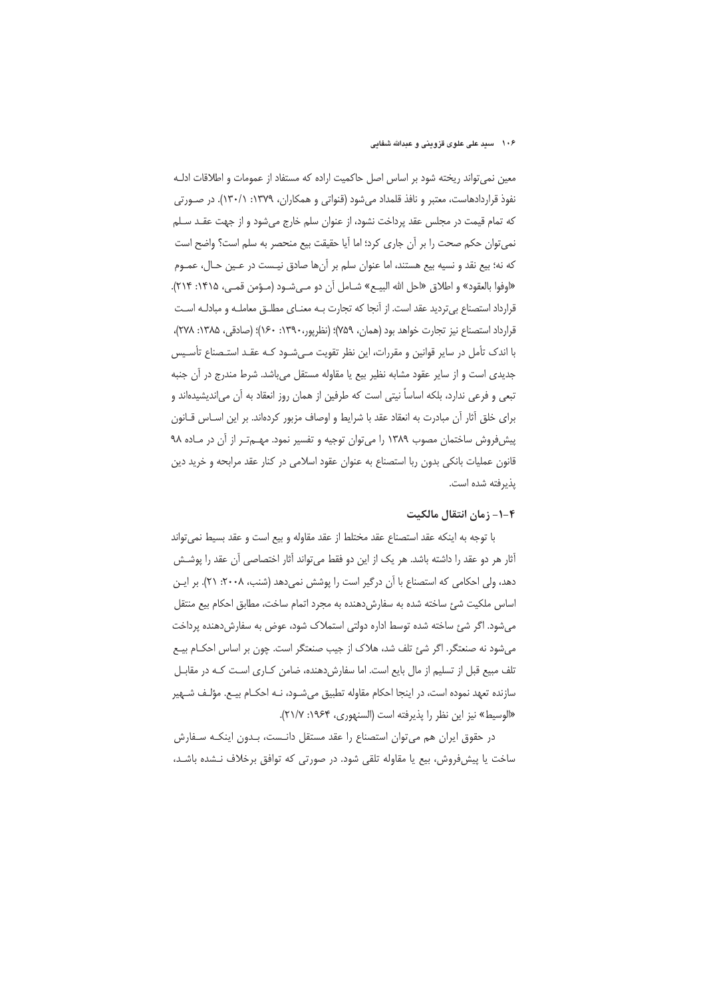معین نمی تواند ریخته شود بر اساس اصل حاکمیت اراده که مستفاد از عمومات و اطلاقات ادلـه نفوذ قراردادهاست، معتبر و نافذ قلمداد میشود (قنواتی و همکاران، ۱۳۷۹: ۲۳۰/۱). در صـورتی که تمام قیمت در مجلس عقد پرداخت نشود، از عنوان سلم خارج می شود و از جهت عقـد سـلم نمي توان حكم صحت را بر أن جاري كرد؛ اما أيا حقيقت بيع منحصر به سلم است؟ واضح است كه نه؛ بيع نقد و نسيه بيع هستند، اما عنوان سلم بر آنها صادق نيـست در عـين حـال، عمـوم «اوفوا بالعقود» و اطلاق «احل الله البيــع» شــامل أن دو مــىشــود (مــؤمن قمــى، ١٣١۵: ٢١۴). قرارداد استصناع بی تردید عقد است. از آنجا که تجارت بـه معنـای مطلـق معاملـه و مبادلـه اسـت قرارداد استصناع نيز تجارت خواهد بود (همان، ٧۵٩)؛ (نظرپور،١٣٩٠: ١٤٠)؛ (صادقي، ١٣٨۵: ٢٧٨)، با اندک تأمل در سایر قوانین و مقررات، این نظر تقویت مـیشـود کـه عقـد استـصناع تأسـیس جدیدی است و از سایر عقود مشابه نظیر بیع یا مقاوله مستقل میباشد. شرط مندرج در آن جنبه تبعی و فرعی ندارد، بلکه اساساً نیتی است که طرفین از همان روز انعقاد به آن می|ندیشیده|ند و برای خلق آثار آن مبادرت به انعقاد عقد با شرایط و اوصاف مزبور کردهاند. بر این اسـاس قـانون ییش فروش ساختمان مصوب ١٣٨٩ را می توان توجیه و تفسیر نمود. مهم تر از آن در ماده ٩٨ قانون عملیات بانکی بدون ربا استصناع به عنوان عقود اسلامی در کنار عقد مرابحه و خرید دین يذيرفته شده است.

## ۴–۱– زمان انتقال مالکیت

با توجه به اینکه عقد استصناع عقد مختلط از عقد مقاوله و بیع است و عقد بسیط نمی تواند آثار هر دو عقد را داشته باشد. هر یک از این دو فقط میتواند آثار اختصاصی آن عقد را پوشش دهد، ولی احکامی که استصناع با آن درگیر است را پوشش نمی دهد (شنب، ۲۰۰۸: ۲۱). بر ایـن اساس ملكيت شئ ساخته شده به سفارش دهنده به مجرد اتمام ساخت، مطابق احكام بيع منتقل میشود. اگر شئ ساخته شده توسط اداره دولتی استملاک شود، عوض به سفارش دهنده پرداخت می شود نه صنعتگر. اگر شئ تلف شد، هلاک از جیب صنعتگر است. چون بر اساس احکـام بیــع تلف مبیع قبل از تسلیم از مال بایع است. اما سفارش دهنده، ضامن کـاری اسـت کـه در مقابـل سازنده تعهد نموده است، در اینجا احکام مقاوله تطبیق میشــود، نــه احکــام بیــع. مؤلــف شــهیر «الوسيط» نيز اين نظر را يذيرفته است (السنهوري، ١٩۶۴: ٢١/٧).

در حقوق ایران هم می توان استصناع را عقد مستقل دانـست، بـدون اینکـه سـفارش ساخت یا پیش فروش، بیع یا مقاوله تلقی شود. در صورتی که توافق برخلاف نـشده باشـد،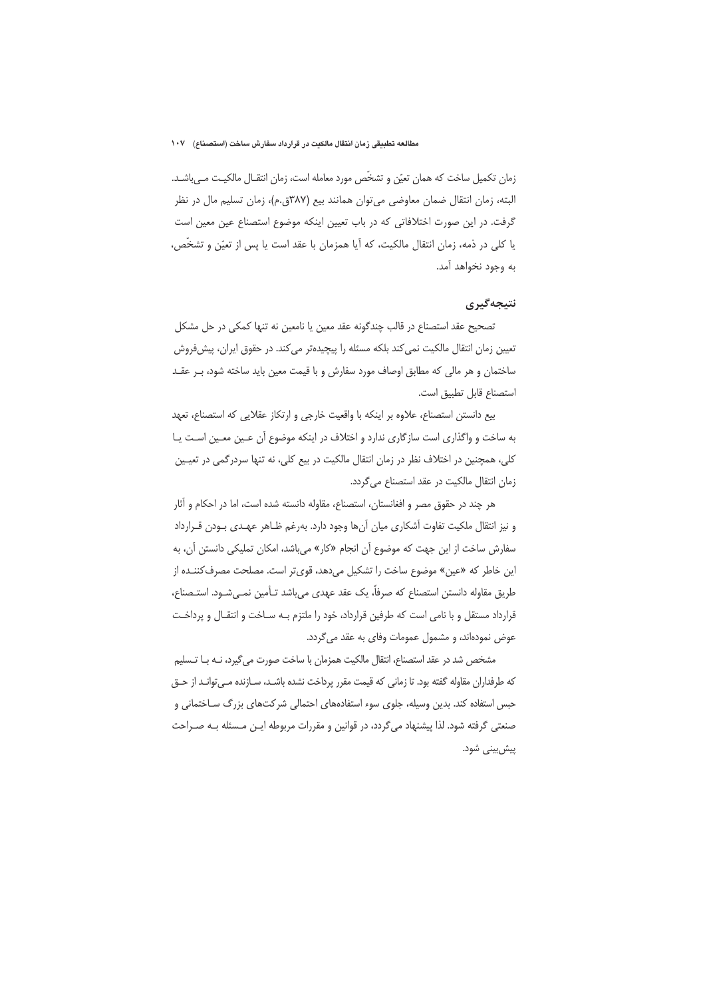زمان تكميل ساخت كه همان تعيّن و تشخّص مورد معامله است، زمان انتقـال مالكيـت مـىباشـد. البته، زمان انتقال ضمان معاوضي مي توان همانند بيع (٣٨٧ق.م)، زمان تسليم مال در نظر گرفت. در این صورت اختلافاتی که در باب تعیین اینکه موضوع استصناع عین معین است يا كلي در ذمه، زمان انتقال مالكيت، كه أيا همزمان با عقد است يا پس از تعيّن و تشخّص، به وجود نخواهد آمد.

## نتيجەگيرى

تصحیح عقد استصناع در قالب چندگونه عقد معین یا نامعین نه تنها کمکی در حل مشکل تعیین زمان انتقال مالکیت نمی کند بلکه مسئله را پیچیدهتر می کند. در حقوق ایران، پیشفوروش ساختمان و هر مالی که مطابق اوصاف مورد سفارش و با قیمت معین باید ساخته شود، بـر عقـد استصناع قابل تطبيق است.

بيع دانستن استصناع، علاوه بر اينكه با واقعيت خارجي و ارتكاز عقلايي كه استصناع، تعهد به ساخت و واگذاری است سازگاری ندارد و اختلاف در اینکه موضوع آن عین معین است یا کلی، همچنین در اختلاف نظر در زمان انتقال مالکیت در بیع کلی، نه تنها سردرگمی در تعیین زمان انتقال مالكيت در عقد استصناع مي گردد.

هر چند در حقوق مصر و افغانستان، استصناع، مقاوله دانسته شده است، اما در احکام و آثار و نیز انتقال ملکیت تفاوت آشکاری میان آنها وجود دارد. بهرغم ظـاهر عهـدی بـودن قـرارداد سفارش ساخت از این جهت که موضوع آن انجام «کار» میباشد، امکان تملیکی دانستن آن، به این خاطر که «عین» موضوع ساخت را تشکیل میدهد، قویتر است. مصلحت مصرف کننده از طريق مقاوله دانستن استصناع كه صرفاً، يك عقد عهدى مىباشد تـأمين نمـىشــود. استــصناع، قرارداد مستقل و با نامی است که طرفین قرارداد، خود را ملتزم بـه سـاخت و انتقـال و پرداخـت عوض نمودهاند، و مشمول عمومات وفای به عقد می گردد.

مشخص شد در عقد استصناع، انتقال مالكيت همزمان با ساخت صورت مي گيرد، نـه بـا تـسليم که طرفداران مقاوله گفته بود. تا زمانی که قیمت مقرر پرداخت نشده باشــد، ســازنده مــی توانــد از حــق حبس استفاده کند. بدین وسیله، جلوی سوء استفادههای احتمالی شرکتهای بزرگ سـاختمانی و صنعتی گرفته شود. لذا پیشنهاد میگردد، در قوانین و مقررات مربوطه ایـن مـسئله بـه صـراحت پیش بینی شود.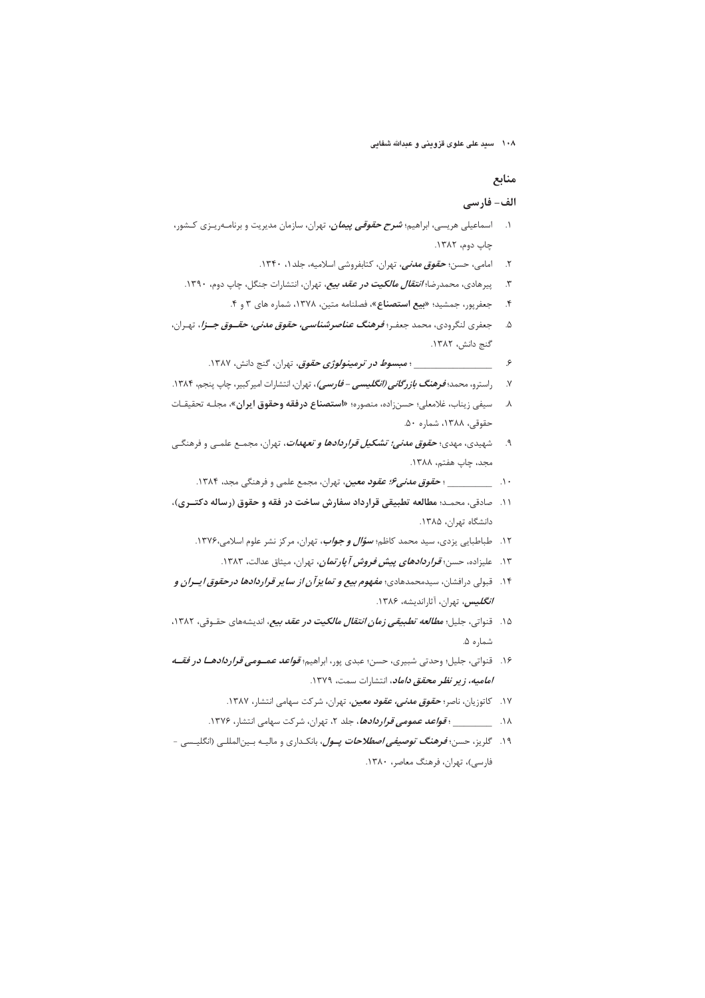۱۰۸ مسید علی علوی قزوینی و عبدالله شفایی

#### منابع

# الف- فارسي

- ۱. اسماعیلی هریسی، ابراهیم؛ *شرح حقوقی پیمان،* تهران، سازمان مدیریت و برنامـهریـزی کـشور، چاپ دوم، ۱۳۸۲.
	- ۲. امامی، حسن؛ *حقوق مدنی،* تهران، کتابفروشی اسلامیه، جلد۱، ۱۳۴۰.
	- ۳. پیرهادی، محمدرضا؛ *انتقال مالکیت در عقد بیع، ت*هران، انتشارات جنگل، چاپ دوم، ۱۳۹۰.
		- جعفرپور، جمشید؛ «بیع استصناع»، فصلنامه متین، ۱۳۷۸، شماره های ۳ و ۴.  $\cdot$
- ۵. جعفري لنگرودي، محمد جعفـر؛ *فرهنگ عناصرشناسي، حقوق مدني، حقــوق جــزا*، تهـران، گنج دانش، ۱۳۸۲.
	- \_ ؛ مبس*وط در ترمینولوژی حقوق*، تهران، گنج دانش، ۱۳۸۷. ۶
- ۷. راسترو، محمد؛ *فوهنگ بازرگانی (انگلیسی فارسی)*، تهران، انتشارات امیرکبیر، چاپ پنجم، ۱۳۸۴.
- ٨. سيفي زيناب، غلامعلي؛ حسنزاده، منصوره؛ «**استصناع درفقه وحقوق ايران»**، مجلـه تحقيقـات حقوقى، ١٣٨٨، شماره ٥٠.
- ۹. شهیدی، مهدی؛ **ح***قوق مدنی؛ تشکیل قراردادها و تعهدات***،** تهران، مجمـع علمـی و فرهنگـی مجد، چاپ هفتم، ۱۳۸۸.
	- ۱۰ \_\_\_\_\_\_\_\_\_\_ ؛ *حقوق مدنی۶؛ عقود معین*، تهران، مجمع علمی و فرهنگی مجد، ۱۳۸۴.
- ١١. حادقي، محمـد؛ مطالعه تطبيقي قرارداد سفارش ساخت در فقه و حقوق (رساله دكتـري)، دانشگاه تهران، ۱۳۸۵.
	- ۱۲. طباطبایی یزدی، سید محمد کاظم؛ *سؤ<i>ال و جواب***،** تهران، مرکز نشر علوم اسلامی،۱۳۷۶.
		- ۱۳. علیزاده، حسن؛ *قراردادهای پیش فروش آپارتمان*، تهران، میثاق عدالت، ۱۳۸۳.
- ۱۴. قبولی درافشان، سیدمحمدهادی؛ *مفهوم بیع و تم<i>ایز آن از سایر قراردادها درحقوق ایسران و* **/***نگلیس،* تهران، آثاراندیشه، ۱۳۸۶.
- ۱۵. قنواتی، جلیل؛ *مطالعه تطبیقی زمان انتقال مالکیت در عقد بیع،* اندیشههای حقـوقی، ۱۳۸۲، شماره ۵.
- ۱۶. قنواتي، جليل؛ وحدتي شبيري، حسن؛ عبدي پور، ابراهيم؛ *قواعد عمــومي قراردادهـــا در فقـــه امامیه، زیر نظر محقق داماد*، انتشارات سمت، ۱۳۷۹.
	- ۱۷. کاتوزیان، ناصر؛ *حقوق مدنی، عقود معین،* تهران، شرکت سهامی انتشار، ۱۳۸۷.
	- ۱۸. هـ ـ مستقر المحمومي تحرار دادها، جلد ۲، تهران، شركت سهامي انتشار، ۱۳۷۶.
- ۱۹. گلریز، حسن؛ *فرهنگ توصیفی اصطلاحات پــول*، بانکـداری و مالیــه بــین|لمللــی (انگلیــسی -فارسی)، تھران، فرھنگ معاصر، ۱۳۸۰.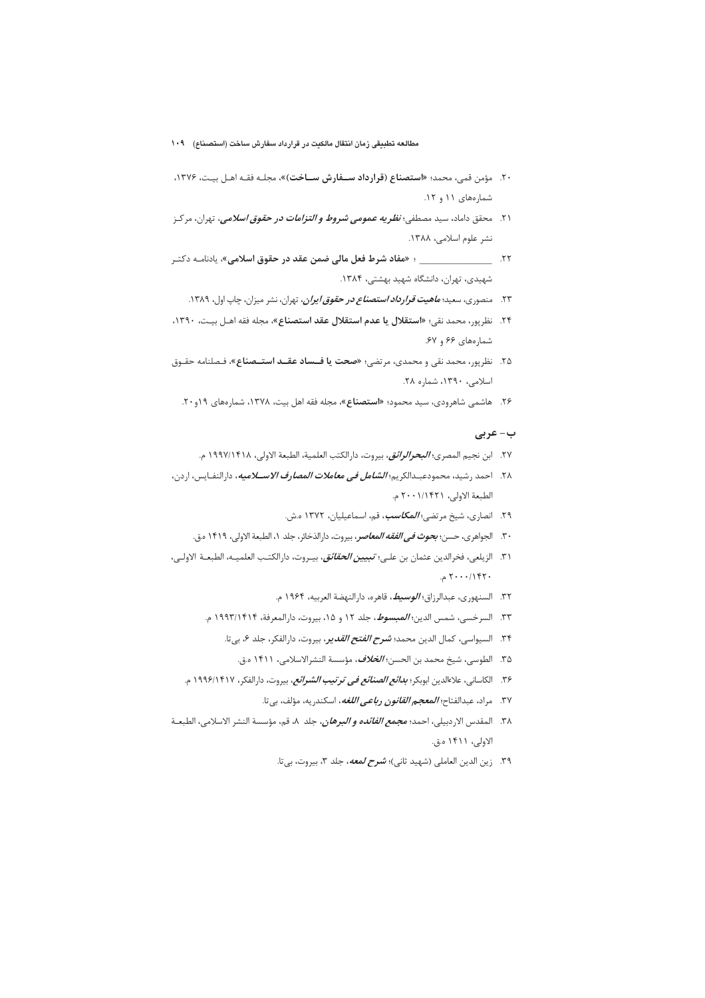- مطالعه تطبيقى زمان انتقال مالكيت در قرارداد سفارش ساخت (استصناع) ۱۰۹
- ۲۰. مؤمن قمی، محمد؛ «**استصناع (قرارداد ســفارش ســاخت**)»، مجلـه فقـه اهـل بيـت، ۱۳۷۶، شمارههای ۱۱ و ۱۲.
- ۲۱. محقق داماد، سيد مصطفى؛ *نظريه عمومى شروط و التزامات در حقوق اسلامى*، تهران، مركـز نشر علوم اسلامي، ١٣٨٨.
- ۲۲. \_\_\_\_\_\_\_\_\_\_\_\_\_\_\_\_\_\_ ؛ «مفاد شرط فعل مالی ضمن عقد در حقوق اسلامی»، یادنامــه دکتـر شهیدی، تهران، دانشگاه شهید بهشتی، ۱۳۸۴.
	- ۲۳. منصوری، سعید؛ *ماهیت قرارداد استصناع در حقوق ایران، ت*هران، نشر میزان، چاپ اول، ۱۳۸۹.
- ۲۴. نظرپور، محمد نقي؛ «**استقلال يا عدم استقلال عقد استصناع»**، مجله فقه اهـل بيـت، ۱۳۹۰، شمارههای ۶۶ و ۶۷.
- ۲۵. نظرپور، محمد نقی و محمدی، مرتضی؛ «صحت ی**ا فــساد عقــد استــصناع»**، فـصلنامه حقـوق اسلامى، ١٣٩٠، شماره ٢٨.
	- ۲۶. هاشمی شاهرودی، سید محمود؛ **«استصناع»**، مجله فقه اهل بیت، ۱۳۷۸، شمارههای ۱۹و۲۰.

#### ب- عربی

- ٢٧. ابن نجيم المصري؛ *البحرالرائق*، بيروت، دارالكتب العلمية، الطبعة الاولى، ١٩٩٧/١۴١٨ م.
- ٢٨. احمد رشيد، محمودعبـدالكريم؛ *الشامل في معاملات المصارف الاســـلاميه*، دارالنفــايس، اردن، الطبعة الاولى، ٢٠١/١۴٢١ م.
	- ٢٩. انصارى، شيخ مرتضى؛ *المكاسب*، قم، اسماعيليان، ١٣٧٢ ه.ش.
	- ٣٠. الجواهري، حسن؛ *بحوث في الفقه المعاصر*، بيروت، دارالذخائر، جلد ١، الطبعة الاولى، ١۴١٩ ه.ق.
- ٣١. الزيلعي، فخرالدين عثمان بن علـي؛ *تبيين الحقائق*، بيـروت، دارالكتـب العلميـه، الطبعــة الاولـي،  $Y \cdot \cdot \cdot / \mathcal{M}$ م.
	- ۳۲. السنهوري، عبدالرزاق؛ *الوسيط*، قاهره، دارالنهضة العربيه، ۱۹۶۴ م.
	- ٣٣. السرخسي، شمس الدين؛ *المبسوط*، جلد ١٢ و ١٥، بيروت، دارالمعرفة، ١٩٩٣/١۴١۴ م.
		- ٣۴. السيواسي، كمال الدين محمد؛ *شرح الفتح القدير***،** بيروت، دارالفكر، جلد ۶، بي تا.
			- ٣۵. الطوسي، شيخ محمد بن الحسن؛ *الخلاف*، مؤسسة النشرالاسلامي، ١۴١١ ه.ق.
	- ۳۶. الكاساني، علاءالدين ابوبكر؛ *بدائع الصنائع في ترتيب الشرائع*، بيروت، دارالفكر، ۱۹۹۶/۱۴۱۷ م.
		- ٣٧. مراد، عبدالفتاح؛ *المعجم القانون رباعي اللغه*، اسكندريه، مؤلف، بيتا.
- ٣٨. المقدس الاردبيلي، احمد؛ م*جمع الفائده و البرهان*، جلد ٨، قم، مؤسسة النشر الاسلامي، الطبعــة الاولى، ١۴١١ ه.ق.
	- ٣٩. زين الدين العاملي (شهيد ثاني)؛ *شرح لمعه،* جلد ٣، بيروت، بي تا.